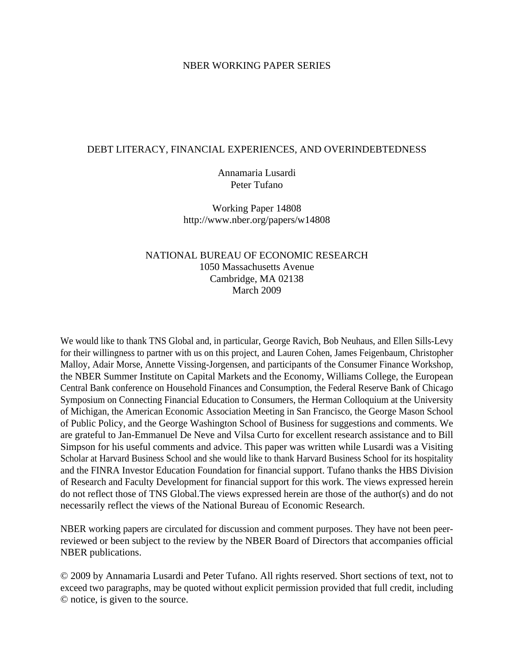### NBER WORKING PAPER SERIES

### DEBT LITERACY, FINANCIAL EXPERIENCES, AND OVERINDEBTEDNESS

Annamaria Lusardi Peter Tufano

Working Paper 14808 http://www.nber.org/papers/w14808

## NATIONAL BUREAU OF ECONOMIC RESEARCH 1050 Massachusetts Avenue Cambridge, MA 02138 March 2009

We would like to thank TNS Global and, in particular, George Ravich, Bob Neuhaus, and Ellen Sills-Levy for their willingness to partner with us on this project, and Lauren Cohen, James Feigenbaum, Christopher Malloy, Adair Morse, Annette Vissing-Jorgensen, and participants of the Consumer Finance Workshop, the NBER Summer Institute on Capital Markets and the Economy, Williams College, the European Central Bank conference on Household Finances and Consumption, the Federal Reserve Bank of Chicago Symposium on Connecting Financial Education to Consumers, the Herman Colloquium at the University of Michigan, the American Economic Association Meeting in San Francisco, the George Mason School of Public Policy, and the George Washington School of Business for suggestions and comments. We are grateful to Jan-Emmanuel De Neve and Vilsa Curto for excellent research assistance and to Bill Simpson for his useful comments and advice. This paper was written while Lusardi was a Visiting Scholar at Harvard Business School and she would like to thank Harvard Business School for its hospitality and the FINRA Investor Education Foundation for financial support. Tufano thanks the HBS Division of Research and Faculty Development for financial support for this work. The views expressed herein do not reflect those of TNS Global.The views expressed herein are those of the author(s) and do not necessarily reflect the views of the National Bureau of Economic Research.

NBER working papers are circulated for discussion and comment purposes. They have not been peerreviewed or been subject to the review by the NBER Board of Directors that accompanies official NBER publications.

© 2009 by Annamaria Lusardi and Peter Tufano. All rights reserved. Short sections of text, not to exceed two paragraphs, may be quoted without explicit permission provided that full credit, including © notice, is given to the source.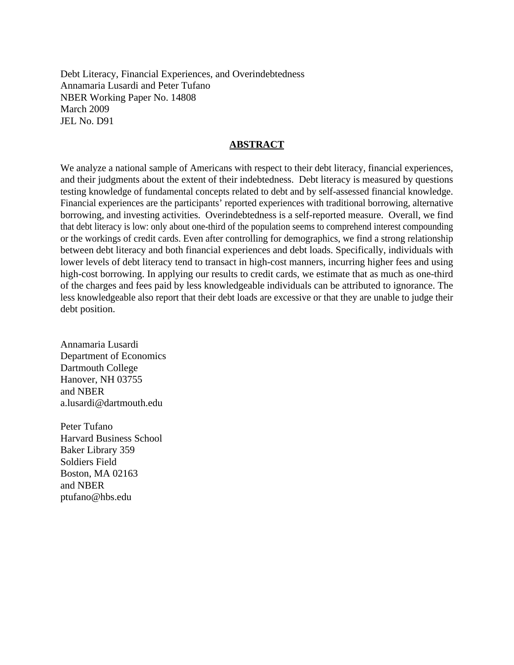Debt Literacy, Financial Experiences, and Overindebtedness Annamaria Lusardi and Peter Tufano NBER Working Paper No. 14808 March 2009 JEL No. D91

### **ABSTRACT**

We analyze a national sample of Americans with respect to their debt literacy, financial experiences, and their judgments about the extent of their indebtedness. Debt literacy is measured by questions testing knowledge of fundamental concepts related to debt and by self-assessed financial knowledge. Financial experiences are the participants' reported experiences with traditional borrowing, alternative borrowing, and investing activities. Overindebtedness is a self-reported measure. Overall, we find that debt literacy is low: only about one-third of the population seems to comprehend interest compounding or the workings of credit cards. Even after controlling for demographics, we find a strong relationship between debt literacy and both financial experiences and debt loads. Specifically, individuals with lower levels of debt literacy tend to transact in high-cost manners, incurring higher fees and using high-cost borrowing. In applying our results to credit cards, we estimate that as much as one-third of the charges and fees paid by less knowledgeable individuals can be attributed to ignorance. The less knowledgeable also report that their debt loads are excessive or that they are unable to judge their debt position.

Annamaria Lusardi Department of Economics Dartmouth College Hanover, NH 03755 and NBER a.lusardi@dartmouth.edu

Peter Tufano Harvard Business School Baker Library 359 Soldiers Field Boston, MA 02163 and NBER ptufano@hbs.edu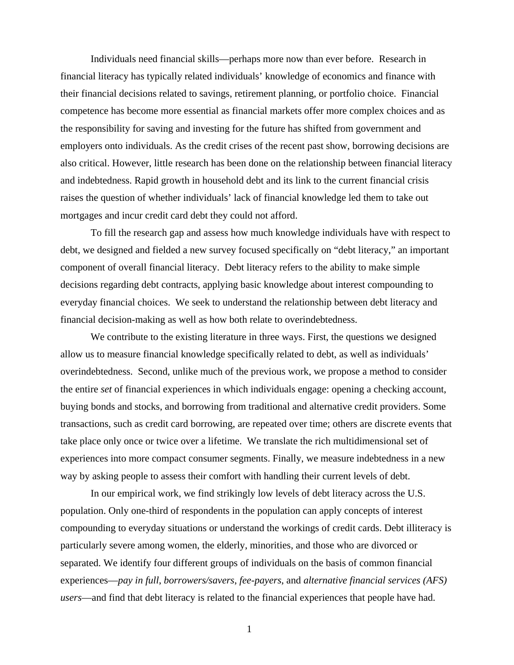Individuals need financial skills—perhaps more now than ever before. Research in financial literacy has typically related individuals' knowledge of economics and finance with their financial decisions related to savings, retirement planning, or portfolio choice. Financial competence has become more essential as financial markets offer more complex choices and as the responsibility for saving and investing for the future has shifted from government and employers onto individuals. As the credit crises of the recent past show, borrowing decisions are also critical. However, little research has been done on the relationship between financial literacy and indebtedness. Rapid growth in household debt and its link to the current financial crisis raises the question of whether individuals' lack of financial knowledge led them to take out mortgages and incur credit card debt they could not afford.

 To fill the research gap and assess how much knowledge individuals have with respect to debt, we designed and fielded a new survey focused specifically on "debt literacy," an important component of overall financial literacy. Debt literacy refers to the ability to make simple decisions regarding debt contracts, applying basic knowledge about interest compounding to everyday financial choices. We seek to understand the relationship between debt literacy and financial decision-making as well as how both relate to overindebtedness.

We contribute to the existing literature in three ways. First, the questions we designed allow us to measure financial knowledge specifically related to debt, as well as individuals' overindebtedness. Second, unlike much of the previous work, we propose a method to consider the entire *set* of financial experiences in which individuals engage: opening a checking account, buying bonds and stocks, and borrowing from traditional and alternative credit providers. Some transactions, such as credit card borrowing, are repeated over time; others are discrete events that take place only once or twice over a lifetime. We translate the rich multidimensional set of experiences into more compact consumer segments. Finally, we measure indebtedness in a new way by asking people to assess their comfort with handling their current levels of debt.

In our empirical work, we find strikingly low levels of debt literacy across the U.S. population. Only one-third of respondents in the population can apply concepts of interest compounding to everyday situations or understand the workings of credit cards. Debt illiteracy is particularly severe among women, the elderly, minorities, and those who are divorced or separated. We identify four different groups of individuals on the basis of common financial experiences—*pay in full*, *borrowers/savers*, *fee-payers*, and *alternative financial services (AFS) users*—and find that debt literacy is related to the financial experiences that people have had.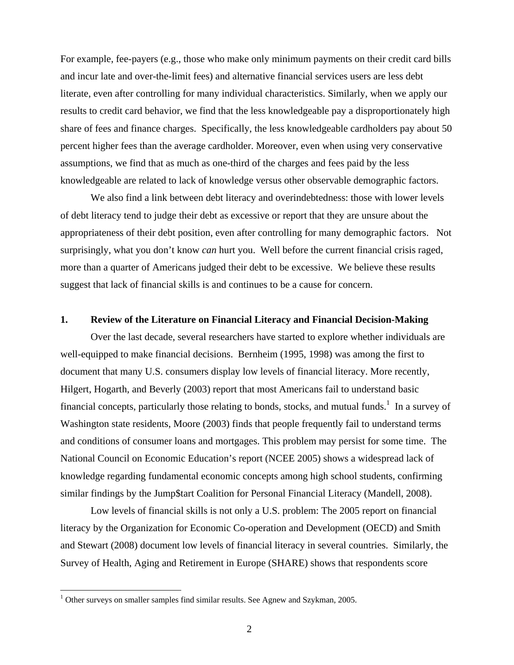For example, fee-payers (e.g., those who make only minimum payments on their credit card bills and incur late and over-the-limit fees) and alternative financial services users are less debt literate, even after controlling for many individual characteristics. Similarly, when we apply our results to credit card behavior, we find that the less knowledgeable pay a disproportionately high share of fees and finance charges. Specifically, the less knowledgeable cardholders pay about 50 percent higher fees than the average cardholder. Moreover, even when using very conservative assumptions, we find that as much as one-third of the charges and fees paid by the less knowledgeable are related to lack of knowledge versus other observable demographic factors.

We also find a link between debt literacy and overindebtedness: those with lower levels of debt literacy tend to judge their debt as excessive or report that they are unsure about the appropriateness of their debt position, even after controlling for many demographic factors. Not surprisingly, what you don't know *can* hurt you. Well before the current financial crisis raged, more than a quarter of Americans judged their debt to be excessive. We believe these results suggest that lack of financial skills is and continues to be a cause for concern.

### **1. Review of the Literature on Financial Literacy and Financial Decision-Making**

 Over the last decade, several researchers have started to explore whether individuals are well-equipped to make financial decisions. Bernheim (1995, 1998) was among the first to document that many U.S. consumers display low levels of financial literacy. More recently, Hilgert, Hogarth, and Beverly (2003) report that most Americans fail to understand basic financial concepts, particularly those relating to bonds, stocks, and mutual funds.<sup>1</sup> In a survey of Washington state residents, Moore (2003) finds that people frequently fail to understand terms and conditions of consumer loans and mortgages. This problem may persist for some time. The National Council on Economic Education's report (NCEE 2005) shows a widespread lack of knowledge regarding fundamental economic concepts among high school students, confirming similar findings by the Jump\$tart Coalition for Personal Financial Literacy (Mandell, 2008).

 Low levels of financial skills is not only a U.S. problem: The 2005 report on financial literacy by the Organization for Economic Co-operation and Development (OECD) and Smith and Stewart (2008) document low levels of financial literacy in several countries. Similarly, the Survey of Health, Aging and Retirement in Europe (SHARE) shows that respondents score

 $1$  Other surveys on smaller samples find similar results. See Agnew and Szykman, 2005.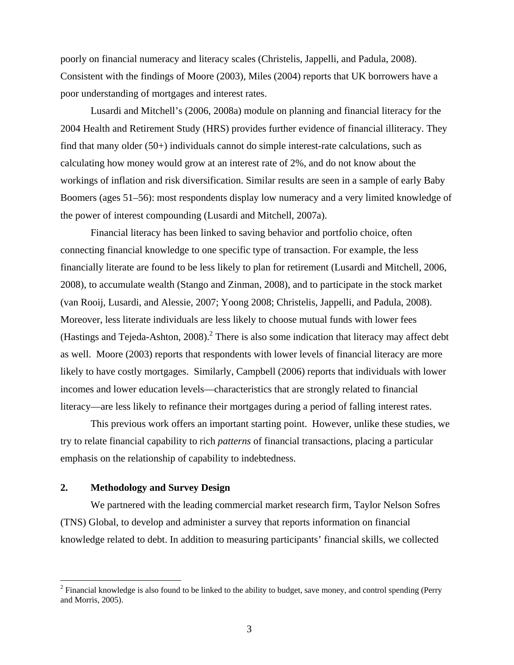poorly on financial numeracy and literacy scales (Christelis, Jappelli, and Padula, 2008). Consistent with the findings of Moore (2003), Miles (2004) reports that UK borrowers have a poor understanding of mortgages and interest rates.

 Lusardi and Mitchell's (2006, 2008a) module on planning and financial literacy for the 2004 Health and Retirement Study (HRS) provides further evidence of financial illiteracy. They find that many older (50+) individuals cannot do simple interest-rate calculations, such as calculating how money would grow at an interest rate of 2%, and do not know about the workings of inflation and risk diversification. Similar results are seen in a sample of early Baby Boomers (ages 51–56): most respondents display low numeracy and a very limited knowledge of the power of interest compounding (Lusardi and Mitchell, 2007a).

Financial literacy has been linked to saving behavior and portfolio choice, often connecting financial knowledge to one specific type of transaction. For example, the less financially literate are found to be less likely to plan for retirement (Lusardi and Mitchell, 2006, 2008), to accumulate wealth (Stango and Zinman, 2008), and to participate in the stock market (van Rooij, Lusardi, and Alessie, 2007; Yoong 2008; Christelis, Jappelli, and Padula, 2008). Moreover, less literate individuals are less likely to choose mutual funds with lower fees (Hastings and Tejeda-Ashton,  $2008$ ).<sup>2</sup> There is also some indication that literacy may affect debt as well. Moore (2003) reports that respondents with lower levels of financial literacy are more likely to have costly mortgages. Similarly, Campbell (2006) reports that individuals with lower incomes and lower education levels—characteristics that are strongly related to financial literacy—are less likely to refinance their mortgages during a period of falling interest rates.

This previous work offers an important starting point. However, unlike these studies, we try to relate financial capability to rich *patterns* of financial transactions, placing a particular emphasis on the relationship of capability to indebtedness.

### **2. Methodology and Survey Design**

 $\overline{a}$ 

We partnered with the leading commercial market research firm, Taylor Nelson Sofres (TNS) Global, to develop and administer a survey that reports information on financial knowledge related to debt. In addition to measuring participants' financial skills, we collected

 $2^2$  Financial knowledge is also found to be linked to the ability to budget, save money, and control spending (Perry and Morris, 2005).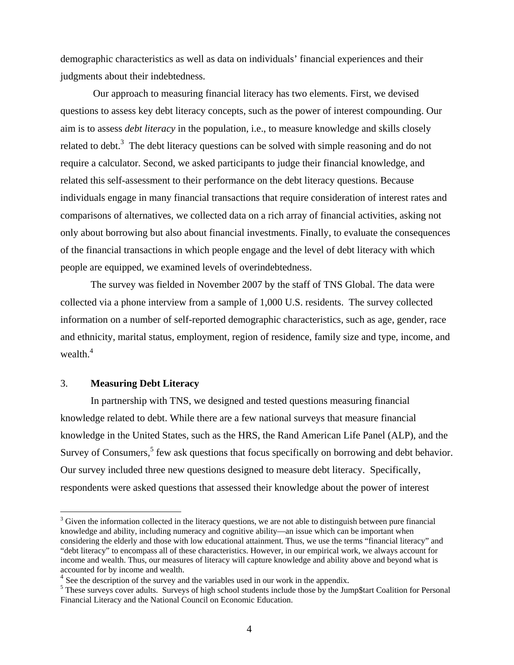demographic characteristics as well as data on individuals' financial experiences and their judgments about their indebtedness.

 Our approach to measuring financial literacy has two elements. First, we devised questions to assess key debt literacy concepts, such as the power of interest compounding. Our aim is to assess *debt literacy* in the population, i.e., to measure knowledge and skills closely related to debt.<sup>3</sup> The debt literacy questions can be solved with simple reasoning and do not require a calculator. Second, we asked participants to judge their financial knowledge, and related this self-assessment to their performance on the debt literacy questions. Because individuals engage in many financial transactions that require consideration of interest rates and comparisons of alternatives, we collected data on a rich array of financial activities, asking not only about borrowing but also about financial investments. Finally, to evaluate the consequences of the financial transactions in which people engage and the level of debt literacy with which people are equipped, we examined levels of overindebtedness.

 The survey was fielded in November 2007 by the staff of TNS Global. The data were collected via a phone interview from a sample of 1,000 U.S. residents. The survey collected information on a number of self-reported demographic characteristics, such as age, gender, race and ethnicity, marital status, employment, region of residence, family size and type, income, and wealth. $4$ 

## 3. **Measuring Debt Literacy**

1

In partnership with TNS, we designed and tested questions measuring financial knowledge related to debt. While there are a few national surveys that measure financial knowledge in the United States, such as the HRS, the Rand American Life Panel (ALP), and the Survey of Consumers,<sup>5</sup> few ask questions that focus specifically on borrowing and debt behavior. Our survey included three new questions designed to measure debt literacy. Specifically, respondents were asked questions that assessed their knowledge about the power of interest

 $3$  Given the information collected in the literacy questions, we are not able to distinguish between pure financial knowledge and ability, including numeracy and cognitive ability—an issue which can be important when considering the elderly and those with low educational attainment. Thus, we use the terms "financial literacy" and "debt literacy" to encompass all of these characteristics. However, in our empirical work, we always account for income and wealth. Thus, our measures of literacy will capture knowledge and ability above and beyond what is accounted for by income and wealth.

 $4$  See the description of the survey and the variables used in our work in the appendix.

<sup>&</sup>lt;sup>5</sup> These surveys cover adults. Surveys of high school students include those by the Jump\$tart Coalition for Personal Financial Literacy and the National Council on Economic Education.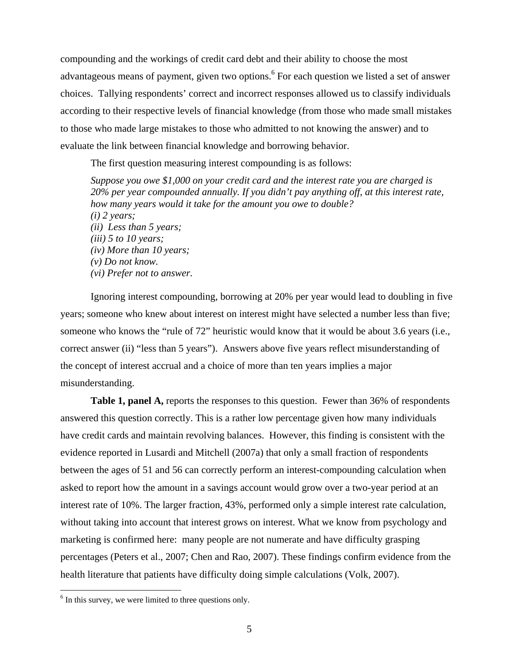compounding and the workings of credit card debt and their ability to choose the most advantageous means of payment, given two options. <sup>6</sup> For each question we listed a set of answer choices. Tallying respondents' correct and incorrect responses allowed us to classify individuals according to their respective levels of financial knowledge (from those who made small mistakes to those who made large mistakes to those who admitted to not knowing the answer) and to evaluate the link between financial knowledge and borrowing behavior.

The first question measuring interest compounding is as follows:

*Suppose you owe \$1,000 on your credit card and the interest rate you are charged is 20% per year compounded annually. If you didn't pay anything off, at this interest rate, how many years would it take for the amount you owe to double? (i) 2 years; (ii) Less than 5 years; (iii) 5 to 10 years; (iv) More than 10 years; (v) Do not know. (vi) Prefer not to answer.* 

Ignoring interest compounding, borrowing at 20% per year would lead to doubling in five years; someone who knew about interest on interest might have selected a number less than five; someone who knows the "rule of 72" heuristic would know that it would be about 3.6 years (i.e., correct answer (ii) "less than 5 years"). Answers above five years reflect misunderstanding of the concept of interest accrual and a choice of more than ten years implies a major misunderstanding.

**Table 1, panel A,** reports the responses to this question. Fewer than 36% of respondents answered this question correctly. This is a rather low percentage given how many individuals have credit cards and maintain revolving balances. However, this finding is consistent with the evidence reported in Lusardi and Mitchell (2007a) that only a small fraction of respondents between the ages of 51 and 56 can correctly perform an interest-compounding calculation when asked to report how the amount in a savings account would grow over a two-year period at an interest rate of 10%. The larger fraction, 43%, performed only a simple interest rate calculation, without taking into account that interest grows on interest. What we know from psychology and marketing is confirmed here: many people are not numerate and have difficulty grasping percentages (Peters et al., 2007; Chen and Rao, 2007). These findings confirm evidence from the health literature that patients have difficulty doing simple calculations (Volk, 2007).

 $6$  In this survey, we were limited to three questions only.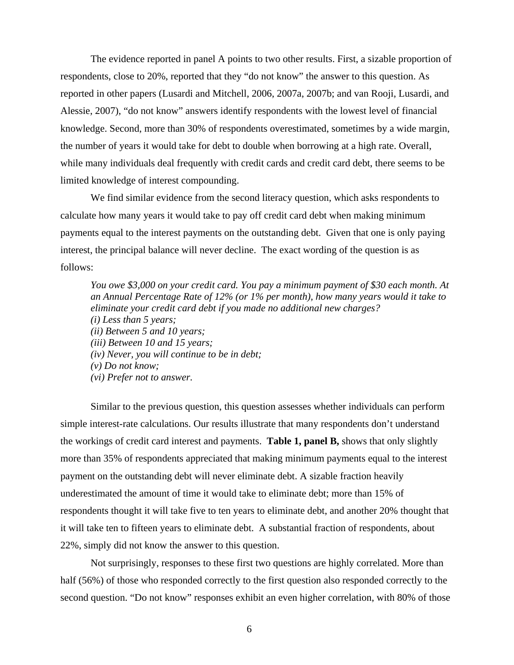The evidence reported in panel A points to two other results. First, a sizable proportion of respondents, close to 20%, reported that they "do not know" the answer to this question. As reported in other papers (Lusardi and Mitchell, 2006, 2007a, 2007b; and van Rooji, Lusardi, and Alessie, 2007), "do not know" answers identify respondents with the lowest level of financial knowledge. Second, more than 30% of respondents overestimated, sometimes by a wide margin, the number of years it would take for debt to double when borrowing at a high rate. Overall, while many individuals deal frequently with credit cards and credit card debt, there seems to be limited knowledge of interest compounding.

We find similar evidence from the second literacy question, which asks respondents to calculate how many years it would take to pay off credit card debt when making minimum payments equal to the interest payments on the outstanding debt. Given that one is only paying interest, the principal balance will never decline. The exact wording of the question is as follows:

*You owe \$3,000 on your credit card. You pay a minimum payment of \$30 each month. At an Annual Percentage Rate of 12% (or 1% per month), how many years would it take to eliminate your credit card debt if you made no additional new charges? (i) Less than 5 years; (ii) Between 5 and 10 years; (iii) Between 10 and 15 years; (iv) Never, you will continue to be in debt; (v) Do not know; (vi) Prefer not to answer.* 

Similar to the previous question, this question assesses whether individuals can perform simple interest-rate calculations. Our results illustrate that many respondents don't understand the workings of credit card interest and payments. **Table 1, panel B,** shows that only slightly more than 35% of respondents appreciated that making minimum payments equal to the interest payment on the outstanding debt will never eliminate debt. A sizable fraction heavily underestimated the amount of time it would take to eliminate debt; more than 15% of respondents thought it will take five to ten years to eliminate debt, and another 20% thought that it will take ten to fifteen years to eliminate debt. A substantial fraction of respondents, about 22%, simply did not know the answer to this question.

Not surprisingly, responses to these first two questions are highly correlated. More than half (56%) of those who responded correctly to the first question also responded correctly to the second question. "Do not know" responses exhibit an even higher correlation, with 80% of those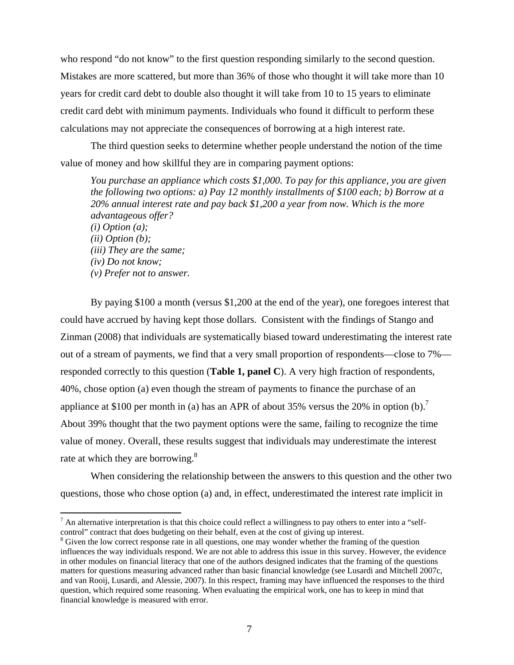who respond "do not know" to the first question responding similarly to the second question. Mistakes are more scattered, but more than 36% of those who thought it will take more than 10 years for credit card debt to double also thought it will take from 10 to 15 years to eliminate credit card debt with minimum payments. Individuals who found it difficult to perform these calculations may not appreciate the consequences of borrowing at a high interest rate.

The third question seeks to determine whether people understand the notion of the time value of money and how skillful they are in comparing payment options:

*You purchase an appliance which costs \$1,000. To pay for this appliance, you are given the following two options: a) Pay 12 monthly installments of \$100 each; b) Borrow at a 20% annual interest rate and pay back \$1,200 a year from now. Which is the more advantageous offer? (i) Option (a); (ii) Option (b); (iii) They are the same; (iv) Do not know; (v) Prefer not to answer.* 

By paying \$100 a month (versus \$1,200 at the end of the year), one foregoes interest that could have accrued by having kept those dollars. Consistent with the findings of Stango and Zinman (2008) that individuals are systematically biased toward underestimating the interest rate out of a stream of payments, we find that a very small proportion of respondents—close to 7% responded correctly to this question (**Table 1, panel C**). A very high fraction of respondents, 40%, chose option (a) even though the stream of payments to finance the purchase of an appliance at \$100 per month in (a) has an APR of about 35% versus the 20% in option (b).<sup>7</sup> About 39% thought that the two payment options were the same, failing to recognize the time value of money. Overall, these results suggest that individuals may underestimate the interest rate at which they are borrowing.<sup>8</sup>

When considering the relationship between the answers to this question and the other two questions, those who chose option (a) and, in effect, underestimated the interest rate implicit in

 $<sup>7</sup>$  An alternative interpretation is that this choice could reflect a willingness to pay others to enter into a "self-</sup> control" contract that does budgeting on their behalf, even at the cost of giving up interest.

<sup>&</sup>lt;sup>8</sup> Given the low correct response rate in all questions, one may wonder whether the framing of the question influences the way individuals respond. We are not able to address this issue in this survey. However, the evidence in other modules on financial literacy that one of the authors designed indicates that the framing of the questions matters for questions measuring advanced rather than basic financial knowledge (see Lusardi and Mitchell 2007c, and van Rooij, Lusardi, and Alessie, 2007). In this respect, framing may have influenced the responses to the third question, which required some reasoning. When evaluating the empirical work, one has to keep in mind that financial knowledge is measured with error.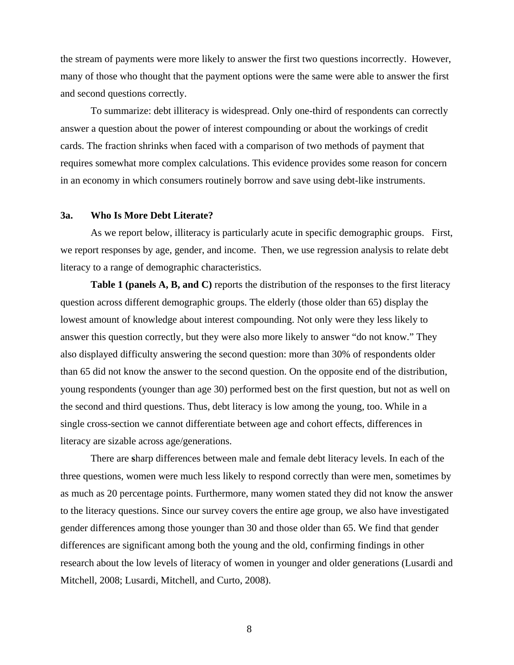the stream of payments were more likely to answer the first two questions incorrectly. However, many of those who thought that the payment options were the same were able to answer the first and second questions correctly.

To summarize: debt illiteracy is widespread. Only one-third of respondents can correctly answer a question about the power of interest compounding or about the workings of credit cards. The fraction shrinks when faced with a comparison of two methods of payment that requires somewhat more complex calculations. This evidence provides some reason for concern in an economy in which consumers routinely borrow and save using debt-like instruments.

### **3a. Who Is More Debt Literate?**

As we report below, illiteracy is particularly acute in specific demographic groups. First, we report responses by age, gender, and income. Then, we use regression analysis to relate debt literacy to a range of demographic characteristics.

**Table 1 (panels A, B, and C)** reports the distribution of the responses to the first literacy question across different demographic groups. The elderly (those older than 65) display the lowest amount of knowledge about interest compounding. Not only were they less likely to answer this question correctly, but they were also more likely to answer "do not know." They also displayed difficulty answering the second question: more than 30% of respondents older than 65 did not know the answer to the second question. On the opposite end of the distribution, young respondents (younger than age 30) performed best on the first question, but not as well on the second and third questions. Thus, debt literacy is low among the young, too. While in a single cross-section we cannot differentiate between age and cohort effects, differences in literacy are sizable across age/generations.

There are **s**harp differences between male and female debt literacy levels. In each of the three questions, women were much less likely to respond correctly than were men, sometimes by as much as 20 percentage points. Furthermore, many women stated they did not know the answer to the literacy questions. Since our survey covers the entire age group, we also have investigated gender differences among those younger than 30 and those older than 65. We find that gender differences are significant among both the young and the old, confirming findings in other research about the low levels of literacy of women in younger and older generations (Lusardi and Mitchell, 2008; Lusardi, Mitchell, and Curto, 2008).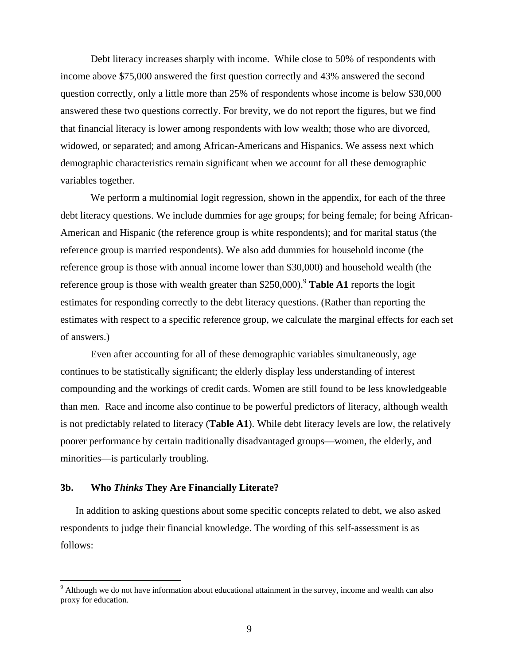Debt literacy increases sharply with income. While close to 50% of respondents with income above \$75,000 answered the first question correctly and 43% answered the second question correctly, only a little more than 25% of respondents whose income is below \$30,000 answered these two questions correctly. For brevity, we do not report the figures, but we find that financial literacy is lower among respondents with low wealth; those who are divorced, widowed, or separated; and among African-Americans and Hispanics. We assess next which demographic characteristics remain significant when we account for all these demographic variables together.

We perform a multinomial logit regression, shown in the appendix, for each of the three debt literacy questions. We include dummies for age groups; for being female; for being African-American and Hispanic (the reference group is white respondents); and for marital status (the reference group is married respondents). We also add dummies for household income (the reference group is those with annual income lower than \$30,000) and household wealth (the reference group is those with wealth greater than  $$250,000$ .<sup>9</sup> Table A1 reports the logit estimates for responding correctly to the debt literacy questions. (Rather than reporting the estimates with respect to a specific reference group, we calculate the marginal effects for each set of answers.)

Even after accounting for all of these demographic variables simultaneously, age continues to be statistically significant; the elderly display less understanding of interest compounding and the workings of credit cards. Women are still found to be less knowledgeable than men. Race and income also continue to be powerful predictors of literacy, although wealth is not predictably related to literacy (**Table A1**). While debt literacy levels are low, the relatively poorer performance by certain traditionally disadvantaged groups—women, the elderly, and minorities—is particularly troubling.

### **3b. Who** *Thinks* **They Are Financially Literate?**

 $\overline{a}$ 

In addition to asking questions about some specific concepts related to debt, we also asked respondents to judge their financial knowledge. The wording of this self-assessment is as follows:

<sup>&</sup>lt;sup>9</sup> Although we do not have information about educational attainment in the survey, income and wealth can also proxy for education.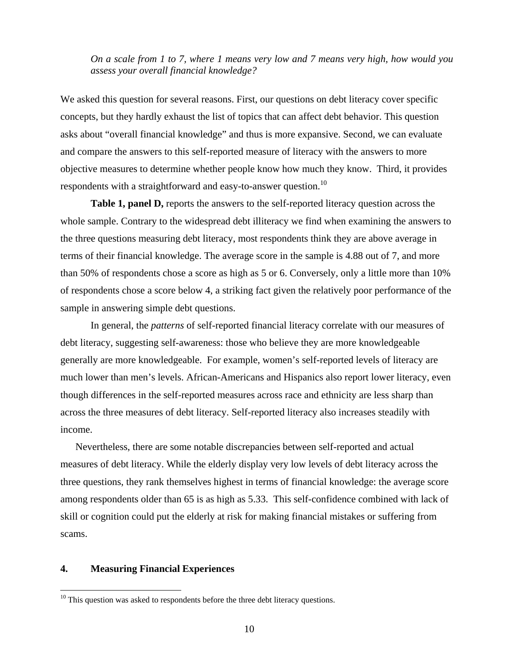### *On a scale from 1 to 7, where 1 means very low and 7 means very high, how would you assess your overall financial knowledge?*

We asked this question for several reasons. First, our questions on debt literacy cover specific concepts, but they hardly exhaust the list of topics that can affect debt behavior. This question asks about "overall financial knowledge" and thus is more expansive. Second, we can evaluate and compare the answers to this self-reported measure of literacy with the answers to more objective measures to determine whether people know how much they know. Third, it provides respondents with a straightforward and easy-to-answer question.<sup>10</sup>

**Table 1, panel D,** reports the answers to the self-reported literacy question across the whole sample. Contrary to the widespread debt illiteracy we find when examining the answers to the three questions measuring debt literacy, most respondents think they are above average in terms of their financial knowledge. The average score in the sample is 4.88 out of 7, and more than 50% of respondents chose a score as high as 5 or 6. Conversely, only a little more than 10% of respondents chose a score below 4, a striking fact given the relatively poor performance of the sample in answering simple debt questions.

 In general, the *patterns* of self-reported financial literacy correlate with our measures of debt literacy, suggesting self-awareness: those who believe they are more knowledgeable generally are more knowledgeable. For example, women's self-reported levels of literacy are much lower than men's levels. African-Americans and Hispanics also report lower literacy, even though differences in the self-reported measures across race and ethnicity are less sharp than across the three measures of debt literacy. Self-reported literacy also increases steadily with income.

Nevertheless, there are some notable discrepancies between self-reported and actual measures of debt literacy. While the elderly display very low levels of debt literacy across the three questions, they rank themselves highest in terms of financial knowledge: the average score among respondents older than 65 is as high as 5.33. This self-confidence combined with lack of skill or cognition could put the elderly at risk for making financial mistakes or suffering from scams.

### **4. Measuring Financial Experiences**

 $10$  This question was asked to respondents before the three debt literacy questions.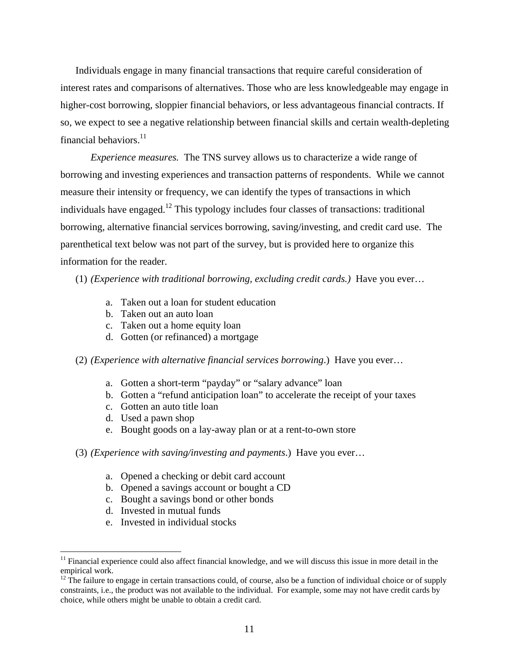Individuals engage in many financial transactions that require careful consideration of interest rates and comparisons of alternatives. Those who are less knowledgeable may engage in higher-cost borrowing, sloppier financial behaviors, or less advantageous financial contracts. If so, we expect to see a negative relationship between financial skills and certain wealth-depleting financial behaviors.<sup>11</sup>

*Experience measures.* The TNS survey allows us to characterize a wide range of borrowing and investing experiences and transaction patterns of respondents. While we cannot measure their intensity or frequency, we can identify the types of transactions in which individuals have engaged.<sup>12</sup> This typology includes four classes of transactions: traditional borrowing, alternative financial services borrowing, saving/investing, and credit card use. The parenthetical text below was not part of the survey, but is provided here to organize this information for the reader.

(1) *(Experience with traditional borrowing, excluding credit cards.)* Have you ever…

- a. Taken out a loan for student education
- b. Taken out an auto loan
- c. Taken out a home equity loan
- d. Gotten (or refinanced) a mortgage

(2) *(Experience with alternative financial services borrowing*.) Have you ever…

- a. Gotten a short-term "payday" or "salary advance" loan
- b. Gotten a "refund anticipation loan" to accelerate the receipt of your taxes
- c. Gotten an auto title loan
- d. Used a pawn shop
- e. Bought goods on a lay-away plan or at a rent-to-own store
- (3) *(Experience with saving/investing and payments*.) Have you ever…
	- a. Opened a checking or debit card account
	- b. Opened a savings account or bought a CD
	- c. Bought a savings bond or other bonds
	- d. Invested in mutual funds

 $\overline{a}$ 

e. Invested in individual stocks

<sup>&</sup>lt;sup>11</sup> Financial experience could also affect financial knowledge, and we will discuss this issue in more detail in the empirical work.

 $12$  The failure to engage in certain transactions could, of course, also be a function of individual choice or of supply constraints, i.e., the product was not available to the individual. For example, some may not have credit cards by choice, while others might be unable to obtain a credit card.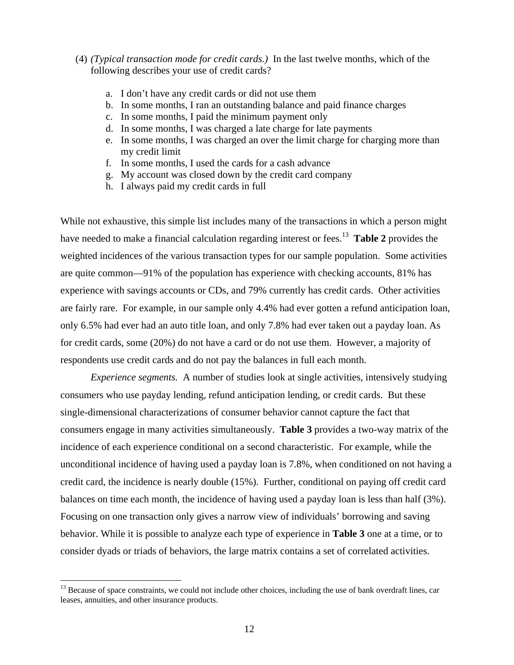- (4) *(Typical transaction mode for credit cards.)* In the last twelve months, which of the following describes your use of credit cards?
	- a. I don't have any credit cards or did not use them
	- b. In some months, I ran an outstanding balance and paid finance charges
	- c. In some months, I paid the minimum payment only
	- d. In some months, I was charged a late charge for late payments
	- e. In some months, I was charged an over the limit charge for charging more than my credit limit
	- f. In some months, I used the cards for a cash advance
	- g. My account was closed down by the credit card company
	- h. I always paid my credit cards in full

While not exhaustive, this simple list includes many of the transactions in which a person might have needed to make a financial calculation regarding interest or fees.<sup>13</sup> **Table 2** provides the weighted incidences of the various transaction types for our sample population. Some activities are quite common—91% of the population has experience with checking accounts, 81% has experience with savings accounts or CDs, and 79% currently has credit cards. Other activities are fairly rare. For example, in our sample only 4.4% had ever gotten a refund anticipation loan, only 6.5% had ever had an auto title loan, and only 7.8% had ever taken out a payday loan. As for credit cards, some (20%) do not have a card or do not use them. However, a majority of respondents use credit cards and do not pay the balances in full each month.

*Experience segments.* A number of studies look at single activities, intensively studying consumers who use payday lending, refund anticipation lending, or credit cards. But these single-dimensional characterizations of consumer behavior cannot capture the fact that consumers engage in many activities simultaneously. **Table 3** provides a two-way matrix of the incidence of each experience conditional on a second characteristic. For example, while the unconditional incidence of having used a payday loan is 7.8%, when conditioned on not having a credit card, the incidence is nearly double (15%). Further, conditional on paying off credit card balances on time each month, the incidence of having used a payday loan is less than half (3%). Focusing on one transaction only gives a narrow view of individuals' borrowing and saving behavior. While it is possible to analyze each type of experience in **Table 3** one at a time, or to consider dyads or triads of behaviors, the large matrix contains a set of correlated activities.

<sup>&</sup>lt;sup>13</sup> Because of space constraints, we could not include other choices, including the use of bank overdraft lines, car leases, annuities, and other insurance products.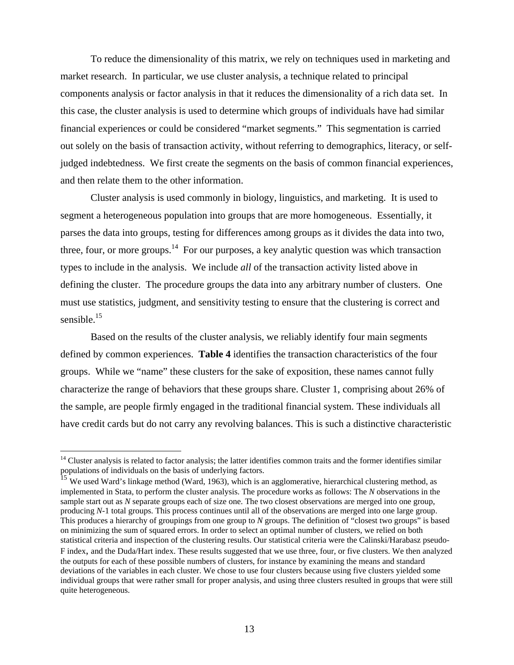To reduce the dimensionality of this matrix, we rely on techniques used in marketing and market research. In particular, we use cluster analysis, a technique related to principal components analysis or factor analysis in that it reduces the dimensionality of a rich data set. In this case, the cluster analysis is used to determine which groups of individuals have had similar financial experiences or could be considered "market segments." This segmentation is carried out solely on the basis of transaction activity, without referring to demographics, literacy, or selfjudged indebtedness. We first create the segments on the basis of common financial experiences, and then relate them to the other information.

 Cluster analysis is used commonly in biology, linguistics, and marketing. It is used to segment a heterogeneous population into groups that are more homogeneous. Essentially, it parses the data into groups, testing for differences among groups as it divides the data into two, three, four, or more groups.<sup>14</sup> For our purposes, a key analytic question was which transaction types to include in the analysis. We include *all* of the transaction activity listed above in defining the cluster. The procedure groups the data into any arbitrary number of clusters. One must use statistics, judgment, and sensitivity testing to ensure that the clustering is correct and sensible.<sup>15</sup>

 Based on the results of the cluster analysis, we reliably identify four main segments defined by common experiences. **Table 4** identifies the transaction characteristics of the four groups. While we "name" these clusters for the sake of exposition, these names cannot fully characterize the range of behaviors that these groups share. Cluster 1, comprising about 26% of the sample, are people firmly engaged in the traditional financial system. These individuals all have credit cards but do not carry any revolving balances. This is such a distinctive characteristic

 $14$  Cluster analysis is related to factor analysis; the latter identifies common traits and the former identifies similar populations of individuals on the basis of underlying factors.

<sup>&</sup>lt;sup>15</sup> We used Ward's linkage method (Ward, 1963), which is an agglomerative, hierarchical clustering method, as implemented in Stata, to perform the cluster analysis. The procedure works as follows: The *N* observations in the sample start out as *N* separate groups each of size one. The two closest observations are merged into one group, producing *N*-1 total groups. This process continues until all of the observations are merged into one large group. This produces a hierarchy of groupings from one group to *N* groups. The definition of "closest two groups" is based on minimizing the sum of squared errors. In order to select an optimal number of clusters, we relied on both statistical criteria and inspection of the clustering results. Our statistical criteria were the Calinski/Harabasz pseudo-F index, and the Duda/Hart index. These results suggested that we use three, four, or five clusters. We then analyzed the outputs for each of these possible numbers of clusters, for instance by examining the means and standard deviations of the variables in each cluster. We chose to use four clusters because using five clusters yielded some individual groups that were rather small for proper analysis, and using three clusters resulted in groups that were still quite heterogeneous.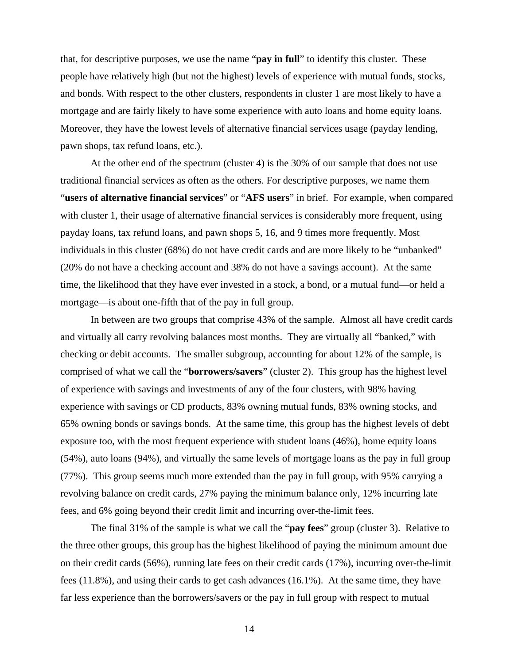that, for descriptive purposes, we use the name "**pay in full**" to identify this cluster. These people have relatively high (but not the highest) levels of experience with mutual funds, stocks, and bonds. With respect to the other clusters, respondents in cluster 1 are most likely to have a mortgage and are fairly likely to have some experience with auto loans and home equity loans. Moreover, they have the lowest levels of alternative financial services usage (payday lending, pawn shops, tax refund loans, etc.).

 At the other end of the spectrum (cluster 4) is the 30% of our sample that does not use traditional financial services as often as the others. For descriptive purposes, we name them "**users of alternative financial services**" or "**AFS users**" in brief. For example, when compared with cluster 1, their usage of alternative financial services is considerably more frequent, using payday loans, tax refund loans, and pawn shops 5, 16, and 9 times more frequently. Most individuals in this cluster (68%) do not have credit cards and are more likely to be "unbanked" (20% do not have a checking account and 38% do not have a savings account). At the same time, the likelihood that they have ever invested in a stock, a bond, or a mutual fund—or held a mortgage—is about one-fifth that of the pay in full group.

 In between are two groups that comprise 43% of the sample. Almost all have credit cards and virtually all carry revolving balances most months. They are virtually all "banked," with checking or debit accounts. The smaller subgroup, accounting for about 12% of the sample, is comprised of what we call the "**borrowers/savers**" (cluster 2). This group has the highest level of experience with savings and investments of any of the four clusters, with 98% having experience with savings or CD products, 83% owning mutual funds, 83% owning stocks, and 65% owning bonds or savings bonds. At the same time, this group has the highest levels of debt exposure too, with the most frequent experience with student loans (46%), home equity loans (54%), auto loans (94%), and virtually the same levels of mortgage loans as the pay in full group (77%). This group seems much more extended than the pay in full group, with 95% carrying a revolving balance on credit cards, 27% paying the minimum balance only, 12% incurring late fees, and 6% going beyond their credit limit and incurring over-the-limit fees.

The final 31% of the sample is what we call the "**pay fees**" group (cluster 3). Relative to the three other groups, this group has the highest likelihood of paying the minimum amount due on their credit cards (56%), running late fees on their credit cards (17%), incurring over-the-limit fees (11.8%), and using their cards to get cash advances (16.1%). At the same time, they have far less experience than the borrowers/savers or the pay in full group with respect to mutual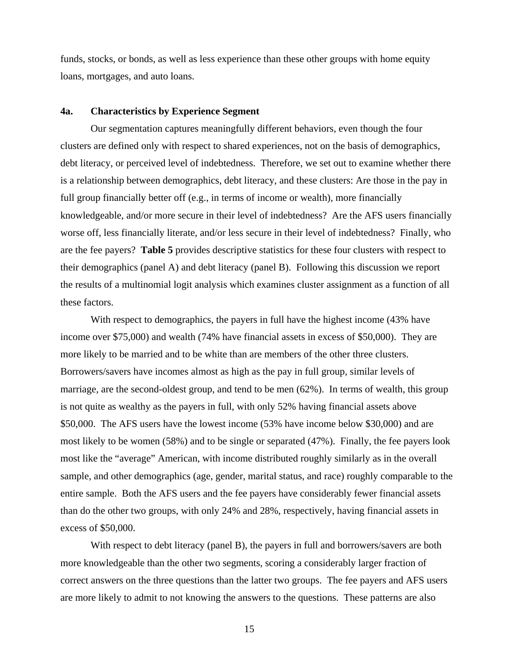funds, stocks, or bonds, as well as less experience than these other groups with home equity loans, mortgages, and auto loans.

### **4a. Characteristics by Experience Segment**

 Our segmentation captures meaningfully different behaviors, even though the four clusters are defined only with respect to shared experiences, not on the basis of demographics, debt literacy, or perceived level of indebtedness. Therefore, we set out to examine whether there is a relationship between demographics, debt literacy, and these clusters: Are those in the pay in full group financially better off (e.g., in terms of income or wealth), more financially knowledgeable, and/or more secure in their level of indebtedness? Are the AFS users financially worse off, less financially literate, and/or less secure in their level of indebtedness? Finally, who are the fee payers? **Table 5** provides descriptive statistics for these four clusters with respect to their demographics (panel A) and debt literacy (panel B). Following this discussion we report the results of a multinomial logit analysis which examines cluster assignment as a function of all these factors.

With respect to demographics, the payers in full have the highest income (43% have income over \$75,000) and wealth (74% have financial assets in excess of \$50,000). They are more likely to be married and to be white than are members of the other three clusters. Borrowers/savers have incomes almost as high as the pay in full group, similar levels of marriage, are the second-oldest group, and tend to be men (62%). In terms of wealth, this group is not quite as wealthy as the payers in full, with only 52% having financial assets above \$50,000. The AFS users have the lowest income (53% have income below \$30,000) and are most likely to be women (58%) and to be single or separated (47%). Finally, the fee payers look most like the "average" American, with income distributed roughly similarly as in the overall sample, and other demographics (age, gender, marital status, and race) roughly comparable to the entire sample. Both the AFS users and the fee payers have considerably fewer financial assets than do the other two groups, with only 24% and 28%, respectively, having financial assets in excess of \$50,000.

With respect to debt literacy (panel B), the payers in full and borrowers/savers are both more knowledgeable than the other two segments, scoring a considerably larger fraction of correct answers on the three questions than the latter two groups. The fee payers and AFS users are more likely to admit to not knowing the answers to the questions. These patterns are also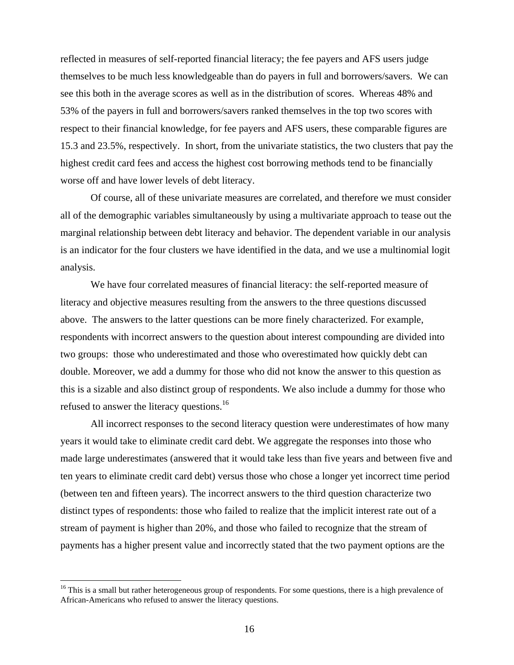reflected in measures of self-reported financial literacy; the fee payers and AFS users judge themselves to be much less knowledgeable than do payers in full and borrowers/savers. We can see this both in the average scores as well as in the distribution of scores. Whereas 48% and 53% of the payers in full and borrowers/savers ranked themselves in the top two scores with respect to their financial knowledge, for fee payers and AFS users, these comparable figures are 15.3 and 23.5%, respectively. In short, from the univariate statistics, the two clusters that pay the highest credit card fees and access the highest cost borrowing methods tend to be financially worse off and have lower levels of debt literacy.

Of course, all of these univariate measures are correlated, and therefore we must consider all of the demographic variables simultaneously by using a multivariate approach to tease out the marginal relationship between debt literacy and behavior. The dependent variable in our analysis is an indicator for the four clusters we have identified in the data, and we use a multinomial logit analysis.

We have four correlated measures of financial literacy: the self-reported measure of literacy and objective measures resulting from the answers to the three questions discussed above. The answers to the latter questions can be more finely characterized. For example, respondents with incorrect answers to the question about interest compounding are divided into two groups: those who underestimated and those who overestimated how quickly debt can double. Moreover, we add a dummy for those who did not know the answer to this question as this is a sizable and also distinct group of respondents. We also include a dummy for those who refused to answer the literacy questions.16

All incorrect responses to the second literacy question were underestimates of how many years it would take to eliminate credit card debt. We aggregate the responses into those who made large underestimates (answered that it would take less than five years and between five and ten years to eliminate credit card debt) versus those who chose a longer yet incorrect time period (between ten and fifteen years). The incorrect answers to the third question characterize two distinct types of respondents: those who failed to realize that the implicit interest rate out of a stream of payment is higher than 20%, and those who failed to recognize that the stream of payments has a higher present value and incorrectly stated that the two payment options are the

<sup>&</sup>lt;sup>16</sup> This is a small but rather heterogeneous group of respondents. For some questions, there is a high prevalence of African-Americans who refused to answer the literacy questions.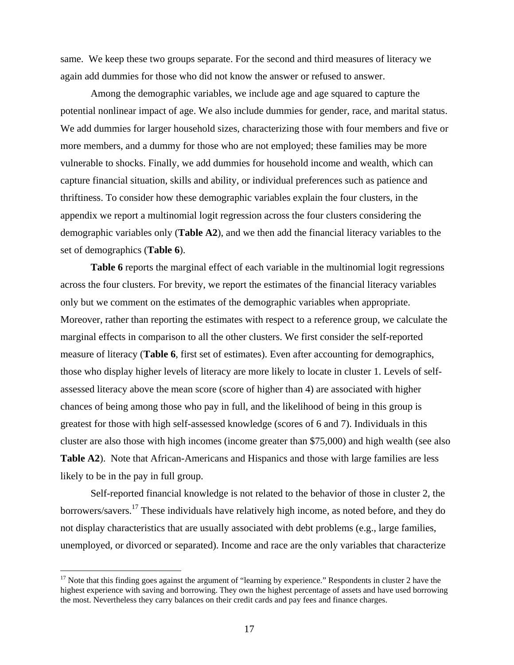same. We keep these two groups separate. For the second and third measures of literacy we again add dummies for those who did not know the answer or refused to answer.

 Among the demographic variables, we include age and age squared to capture the potential nonlinear impact of age. We also include dummies for gender, race, and marital status. We add dummies for larger household sizes, characterizing those with four members and five or more members, and a dummy for those who are not employed; these families may be more vulnerable to shocks. Finally, we add dummies for household income and wealth, which can capture financial situation, skills and ability, or individual preferences such as patience and thriftiness. To consider how these demographic variables explain the four clusters, in the appendix we report a multinomial logit regression across the four clusters considering the demographic variables only (**Table A2**), and we then add the financial literacy variables to the set of demographics (**Table 6**).

Table 6 reports the marginal effect of each variable in the multinomial logit regressions across the four clusters. For brevity, we report the estimates of the financial literacy variables only but we comment on the estimates of the demographic variables when appropriate. Moreover, rather than reporting the estimates with respect to a reference group, we calculate the marginal effects in comparison to all the other clusters. We first consider the self-reported measure of literacy (**Table 6**, first set of estimates). Even after accounting for demographics, those who display higher levels of literacy are more likely to locate in cluster 1. Levels of selfassessed literacy above the mean score (score of higher than 4) are associated with higher chances of being among those who pay in full, and the likelihood of being in this group is greatest for those with high self-assessed knowledge (scores of 6 and 7). Individuals in this cluster are also those with high incomes (income greater than \$75,000) and high wealth (see also **Table A2**). Note that African-Americans and Hispanics and those with large families are less likely to be in the pay in full group.

Self-reported financial knowledge is not related to the behavior of those in cluster 2, the borrowers/savers.17 These individuals have relatively high income, as noted before, and they do not display characteristics that are usually associated with debt problems (e.g., large families, unemployed, or divorced or separated). Income and race are the only variables that characterize

 $17$  Note that this finding goes against the argument of "learning by experience." Respondents in cluster 2 have the highest experience with saving and borrowing. They own the highest percentage of assets and have used borrowing the most. Nevertheless they carry balances on their credit cards and pay fees and finance charges.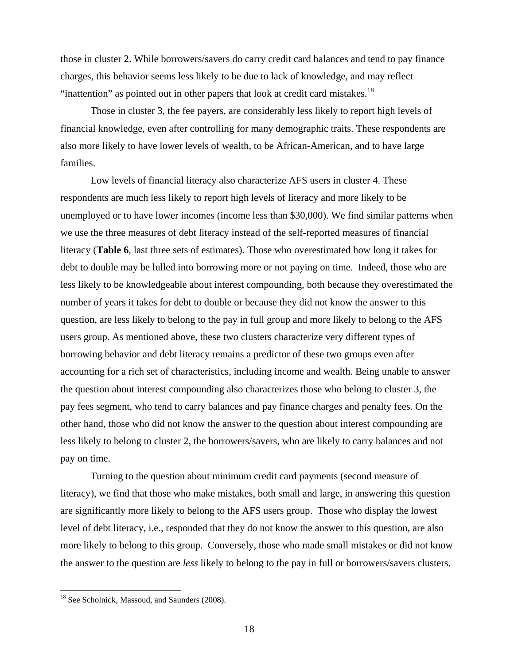those in cluster 2. While borrowers/savers do carry credit card balances and tend to pay finance charges, this behavior seems less likely to be due to lack of knowledge, and may reflect "inattention" as pointed out in other papers that look at credit card mistakes.<sup>18</sup>

Those in cluster 3, the fee payers, are considerably less likely to report high levels of financial knowledge, even after controlling for many demographic traits. These respondents are also more likely to have lower levels of wealth, to be African-American, and to have large families.

Low levels of financial literacy also characterize AFS users in cluster 4. These respondents are much less likely to report high levels of literacy and more likely to be unemployed or to have lower incomes (income less than \$30,000). We find similar patterns when we use the three measures of debt literacy instead of the self-reported measures of financial literacy (**Table 6**, last three sets of estimates). Those who overestimated how long it takes for debt to double may be lulled into borrowing more or not paying on time. Indeed, those who are less likely to be knowledgeable about interest compounding, both because they overestimated the number of years it takes for debt to double or because they did not know the answer to this question, are less likely to belong to the pay in full group and more likely to belong to the AFS users group. As mentioned above, these two clusters characterize very different types of borrowing behavior and debt literacy remains a predictor of these two groups even after accounting for a rich set of characteristics, including income and wealth. Being unable to answer the question about interest compounding also characterizes those who belong to cluster 3, the pay fees segment, who tend to carry balances and pay finance charges and penalty fees. On the other hand, those who did not know the answer to the question about interest compounding are less likely to belong to cluster 2, the borrowers/savers, who are likely to carry balances and not pay on time.

Turning to the question about minimum credit card payments (second measure of literacy), we find that those who make mistakes, both small and large, in answering this question are significantly more likely to belong to the AFS users group. Those who display the lowest level of debt literacy, i.e., responded that they do not know the answer to this question, are also more likely to belong to this group. Conversely, those who made small mistakes or did not know the answer to the question are *less* likely to belong to the pay in full or borrowers/savers clusters.

<sup>&</sup>lt;sup>18</sup> See Scholnick, Massoud, and Saunders (2008).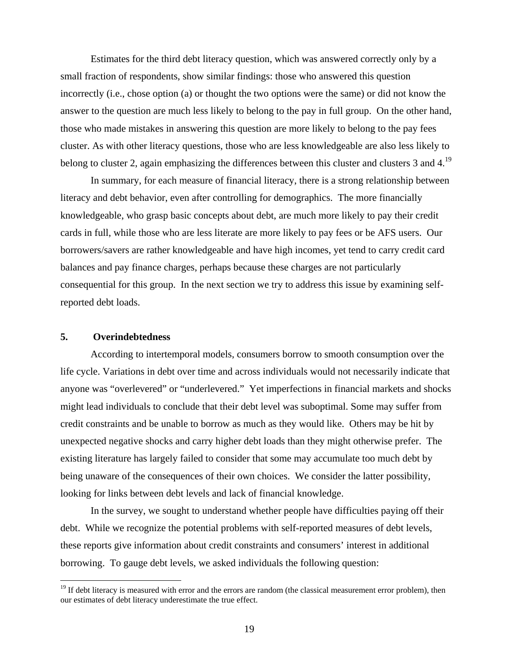Estimates for the third debt literacy question, which was answered correctly only by a small fraction of respondents, show similar findings: those who answered this question incorrectly (i.e., chose option (a) or thought the two options were the same) or did not know the answer to the question are much less likely to belong to the pay in full group. On the other hand, those who made mistakes in answering this question are more likely to belong to the pay fees cluster. As with other literacy questions, those who are less knowledgeable are also less likely to belong to cluster 2, again emphasizing the differences between this cluster and clusters 3 and 4.<sup>19</sup>

In summary, for each measure of financial literacy, there is a strong relationship between literacy and debt behavior, even after controlling for demographics. The more financially knowledgeable, who grasp basic concepts about debt, are much more likely to pay their credit cards in full, while those who are less literate are more likely to pay fees or be AFS users. Our borrowers/savers are rather knowledgeable and have high incomes, yet tend to carry credit card balances and pay finance charges, perhaps because these charges are not particularly consequential for this group. In the next section we try to address this issue by examining selfreported debt loads.

### **5. Overindebtedness**

 $\overline{a}$ 

According to intertemporal models, consumers borrow to smooth consumption over the life cycle. Variations in debt over time and across individuals would not necessarily indicate that anyone was "overlevered" or "underlevered." Yet imperfections in financial markets and shocks might lead individuals to conclude that their debt level was suboptimal. Some may suffer from credit constraints and be unable to borrow as much as they would like. Others may be hit by unexpected negative shocks and carry higher debt loads than they might otherwise prefer. The existing literature has largely failed to consider that some may accumulate too much debt by being unaware of the consequences of their own choices. We consider the latter possibility, looking for links between debt levels and lack of financial knowledge.

In the survey, we sought to understand whether people have difficulties paying off their debt. While we recognize the potential problems with self-reported measures of debt levels, these reports give information about credit constraints and consumers' interest in additional borrowing. To gauge debt levels, we asked individuals the following question:

<sup>&</sup>lt;sup>19</sup> If debt literacy is measured with error and the errors are random (the classical measurement error problem), then our estimates of debt literacy underestimate the true effect.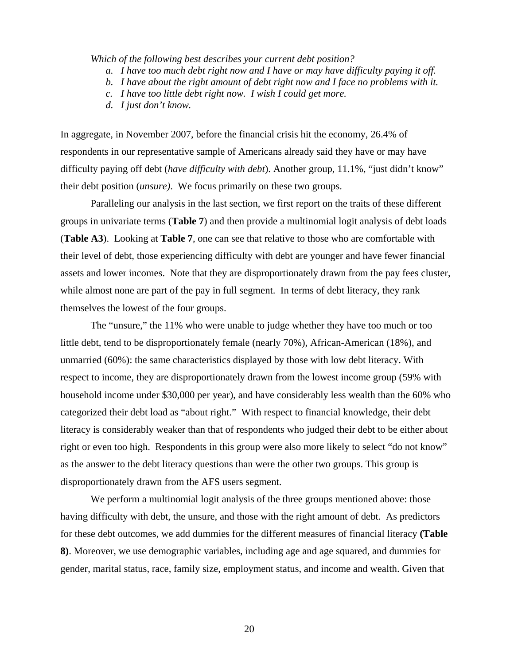*Which of the following best describes your current debt position?* 

- *a. I have too much debt right now and I have or may have difficulty paying it off.*
- *b. I have about the right amount of debt right now and I face no problems with it.*
- *c. I have too little debt right now. I wish I could get more.*
- *d. I just don't know.*

In aggregate, in November 2007, before the financial crisis hit the economy, 26.4% of respondents in our representative sample of Americans already said they have or may have difficulty paying off debt (*have difficulty with debt*). Another group, 11.1%, "just didn't know" their debt position (*unsure)*. We focus primarily on these two groups.

 Paralleling our analysis in the last section, we first report on the traits of these different groups in univariate terms (**Table 7**) and then provide a multinomial logit analysis of debt loads (**Table A3**). Looking at **Table 7**, one can see that relative to those who are comfortable with their level of debt, those experiencing difficulty with debt are younger and have fewer financial assets and lower incomes. Note that they are disproportionately drawn from the pay fees cluster, while almost none are part of the pay in full segment. In terms of debt literacy, they rank themselves the lowest of the four groups.

 The "unsure," the 11% who were unable to judge whether they have too much or too little debt, tend to be disproportionately female (nearly 70%), African-American (18%), and unmarried (60%): the same characteristics displayed by those with low debt literacy. With respect to income, they are disproportionately drawn from the lowest income group (59% with household income under \$30,000 per year), and have considerably less wealth than the 60% who categorized their debt load as "about right." With respect to financial knowledge, their debt literacy is considerably weaker than that of respondents who judged their debt to be either about right or even too high. Respondents in this group were also more likely to select "do not know" as the answer to the debt literacy questions than were the other two groups. This group is disproportionately drawn from the AFS users segment.

We perform a multinomial logit analysis of the three groups mentioned above: those having difficulty with debt, the unsure, and those with the right amount of debt. As predictors for these debt outcomes, we add dummies for the different measures of financial literacy **(Table 8)**. Moreover, we use demographic variables, including age and age squared, and dummies for gender, marital status, race, family size, employment status, and income and wealth. Given that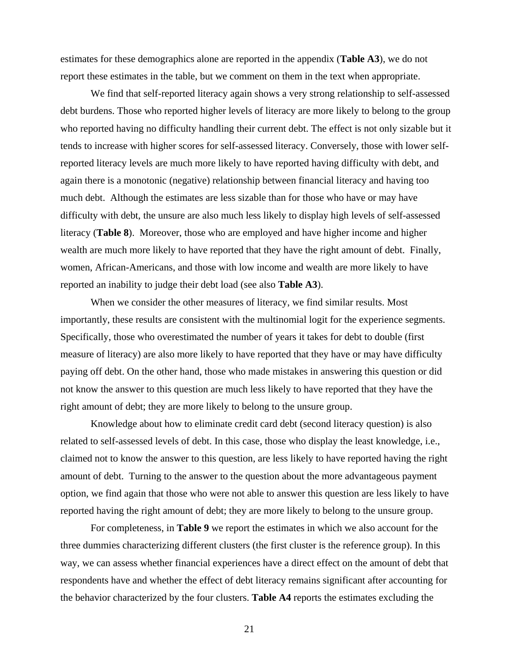estimates for these demographics alone are reported in the appendix (**Table A3**), we do not report these estimates in the table, but we comment on them in the text when appropriate.

We find that self-reported literacy again shows a very strong relationship to self-assessed debt burdens. Those who reported higher levels of literacy are more likely to belong to the group who reported having no difficulty handling their current debt. The effect is not only sizable but it tends to increase with higher scores for self-assessed literacy. Conversely, those with lower selfreported literacy levels are much more likely to have reported having difficulty with debt, and again there is a monotonic (negative) relationship between financial literacy and having too much debt. Although the estimates are less sizable than for those who have or may have difficulty with debt, the unsure are also much less likely to display high levels of self-assessed literacy (**Table 8**). Moreover, those who are employed and have higher income and higher wealth are much more likely to have reported that they have the right amount of debt. Finally, women, African-Americans, and those with low income and wealth are more likely to have reported an inability to judge their debt load (see also **Table A3**).

When we consider the other measures of literacy, we find similar results. Most importantly, these results are consistent with the multinomial logit for the experience segments. Specifically, those who overestimated the number of years it takes for debt to double (first measure of literacy) are also more likely to have reported that they have or may have difficulty paying off debt. On the other hand, those who made mistakes in answering this question or did not know the answer to this question are much less likely to have reported that they have the right amount of debt; they are more likely to belong to the unsure group.

Knowledge about how to eliminate credit card debt (second literacy question) is also related to self-assessed levels of debt. In this case, those who display the least knowledge, i.e., claimed not to know the answer to this question, are less likely to have reported having the right amount of debt. Turning to the answer to the question about the more advantageous payment option, we find again that those who were not able to answer this question are less likely to have reported having the right amount of debt; they are more likely to belong to the unsure group.

For completeness, in **Table 9** we report the estimates in which we also account for the three dummies characterizing different clusters (the first cluster is the reference group). In this way, we can assess whether financial experiences have a direct effect on the amount of debt that respondents have and whether the effect of debt literacy remains significant after accounting for the behavior characterized by the four clusters. **Table A4** reports the estimates excluding the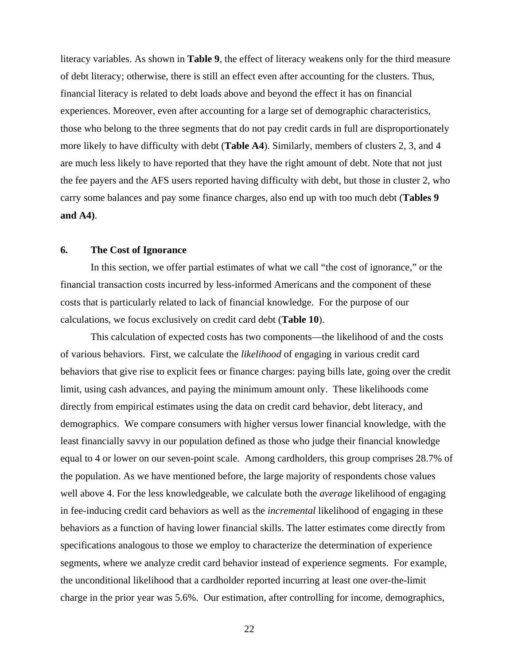literacy variables. As shown in **Table 9**, the effect of literacy weakens only for the third measure of debt literacy; otherwise, there is still an effect even after accounting for the clusters. Thus, financial literacy is related to debt loads above and beyond the effect it has on financial experiences. Moreover, even after accounting for a large set of demographic characteristics, those who belong to the three segments that do not pay credit cards in full are disproportionately more likely to have difficulty with debt (**Table A4**). Similarly, members of clusters 2, 3, and 4 are much less likely to have reported that they have the right amount of debt. Note that not just the fee payers and the AFS users reported having difficulty with debt, but those in cluster 2, who carry some balances and pay some finance charges, also end up with too much debt (**Tables 9 and A4)**.

### **6. The Cost of Ignorance**

In this section, we offer partial estimates of what we call "the cost of ignorance," or the financial transaction costs incurred by less-informed Americans and the component of these costs that is particularly related to lack of financial knowledge. For the purpose of our calculations, we focus exclusively on credit card debt (**Table 10**).

This calculation of expected costs has two components—the likelihood of and the costs of various behaviors. First, we calculate the *likelihood* of engaging in various credit card behaviors that give rise to explicit fees or finance charges: paying bills late, going over the credit limit, using cash advances, and paying the minimum amount only. These likelihoods come directly from empirical estimates using the data on credit card behavior, debt literacy, and demographics. We compare consumers with higher versus lower financial knowledge, with the least financially savvy in our population defined as those who judge their financial knowledge equal to 4 or lower on our seven-point scale. Among cardholders, this group comprises 28.7% of the population. As we have mentioned before, the large majority of respondents chose values well above 4. For the less knowledgeable, we calculate both the *average* likelihood of engaging in fee-inducing credit card behaviors as well as the *incremental* likelihood of engaging in these behaviors as a function of having lower financial skills. The latter estimates come directly from specifications analogous to those we employ to characterize the determination of experience segments, where we analyze credit card behavior instead of experience segments. For example, the unconditional likelihood that a cardholder reported incurring at least one over-the-limit charge in the prior year was 5.6%. Our estimation, after controlling for income, demographics,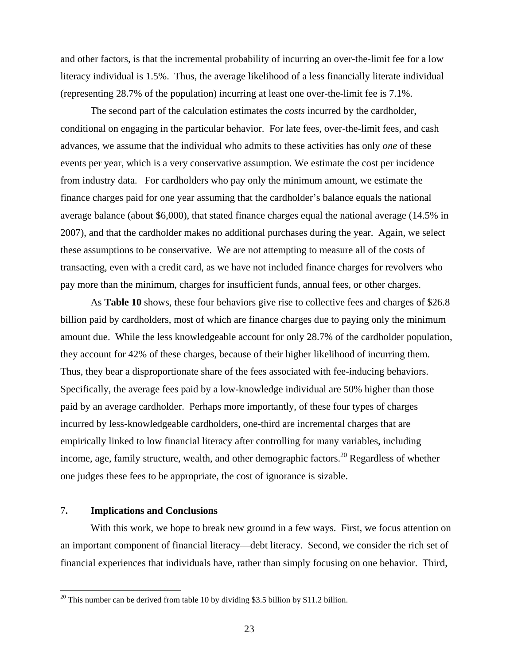and other factors, is that the incremental probability of incurring an over-the-limit fee for a low literacy individual is 1.5%. Thus, the average likelihood of a less financially literate individual (representing 28.7% of the population) incurring at least one over-the-limit fee is 7.1%.

The second part of the calculation estimates the *costs* incurred by the cardholder, conditional on engaging in the particular behavior. For late fees, over-the-limit fees, and cash advances, we assume that the individual who admits to these activities has only *one* of these events per year, which is a very conservative assumption. We estimate the cost per incidence from industry data. For cardholders who pay only the minimum amount, we estimate the finance charges paid for one year assuming that the cardholder's balance equals the national average balance (about \$6,000), that stated finance charges equal the national average (14.5% in 2007), and that the cardholder makes no additional purchases during the year. Again, we select these assumptions to be conservative. We are not attempting to measure all of the costs of transacting, even with a credit card, as we have not included finance charges for revolvers who pay more than the minimum, charges for insufficient funds, annual fees, or other charges.

As **Table 10** shows, these four behaviors give rise to collective fees and charges of \$26.8 billion paid by cardholders, most of which are finance charges due to paying only the minimum amount due. While the less knowledgeable account for only 28.7% of the cardholder population, they account for 42% of these charges, because of their higher likelihood of incurring them. Thus, they bear a disproportionate share of the fees associated with fee-inducing behaviors. Specifically, the average fees paid by a low-knowledge individual are 50% higher than those paid by an average cardholder. Perhaps more importantly, of these four types of charges incurred by less-knowledgeable cardholders, one-third are incremental charges that are empirically linked to low financial literacy after controlling for many variables, including income, age, family structure, wealth, and other demographic factors.<sup>20</sup> Regardless of whether one judges these fees to be appropriate, the cost of ignorance is sizable.

### 7**. Implications and Conclusions**

 $\overline{a}$ 

With this work, we hope to break new ground in a few ways. First, we focus attention on an important component of financial literacy—debt literacy. Second, we consider the rich set of financial experiences that individuals have, rather than simply focusing on one behavior. Third,

 $20$  This number can be derived from table 10 by dividing \$3.5 billion by \$11.2 billion.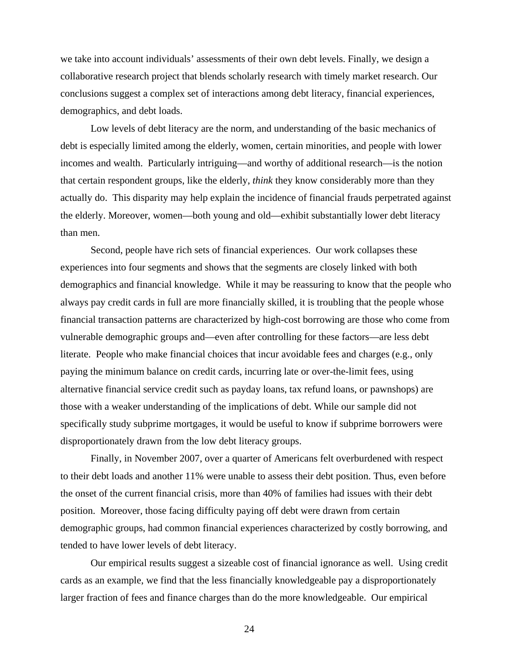we take into account individuals' assessments of their own debt levels. Finally, we design a collaborative research project that blends scholarly research with timely market research. Our conclusions suggest a complex set of interactions among debt literacy, financial experiences, demographics, and debt loads.

Low levels of debt literacy are the norm, and understanding of the basic mechanics of debt is especially limited among the elderly, women, certain minorities, and people with lower incomes and wealth. Particularly intriguing—and worthy of additional research—is the notion that certain respondent groups, like the elderly, *think* they know considerably more than they actually do. This disparity may help explain the incidence of financial frauds perpetrated against the elderly. Moreover, women—both young and old—exhibit substantially lower debt literacy than men.

Second, people have rich sets of financial experiences. Our work collapses these experiences into four segments and shows that the segments are closely linked with both demographics and financial knowledge. While it may be reassuring to know that the people who always pay credit cards in full are more financially skilled, it is troubling that the people whose financial transaction patterns are characterized by high-cost borrowing are those who come from vulnerable demographic groups and—even after controlling for these factors—are less debt literate. People who make financial choices that incur avoidable fees and charges (e.g., only paying the minimum balance on credit cards, incurring late or over-the-limit fees, using alternative financial service credit such as payday loans, tax refund loans, or pawnshops) are those with a weaker understanding of the implications of debt. While our sample did not specifically study subprime mortgages, it would be useful to know if subprime borrowers were disproportionately drawn from the low debt literacy groups.

Finally, in November 2007, over a quarter of Americans felt overburdened with respect to their debt loads and another 11% were unable to assess their debt position. Thus, even before the onset of the current financial crisis, more than 40% of families had issues with their debt position. Moreover, those facing difficulty paying off debt were drawn from certain demographic groups, had common financial experiences characterized by costly borrowing, and tended to have lower levels of debt literacy.

Our empirical results suggest a sizeable cost of financial ignorance as well. Using credit cards as an example, we find that the less financially knowledgeable pay a disproportionately larger fraction of fees and finance charges than do the more knowledgeable. Our empirical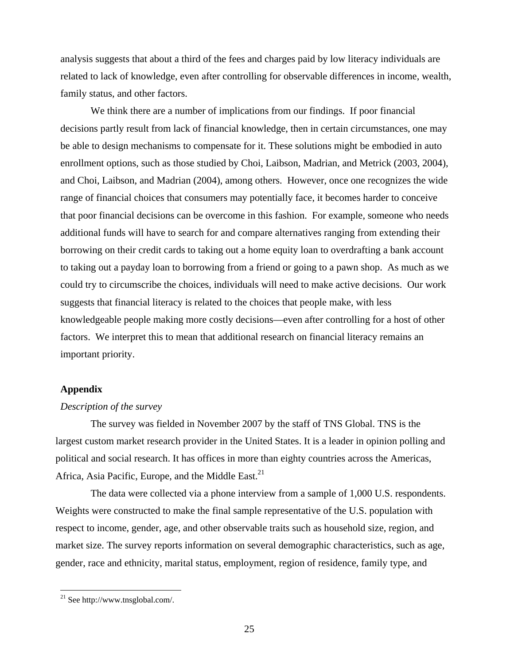analysis suggests that about a third of the fees and charges paid by low literacy individuals are related to lack of knowledge, even after controlling for observable differences in income, wealth, family status, and other factors.

 We think there are a number of implications from our findings. If poor financial decisions partly result from lack of financial knowledge, then in certain circumstances, one may be able to design mechanisms to compensate for it. These solutions might be embodied in auto enrollment options, such as those studied by Choi, Laibson, Madrian, and Metrick (2003, 2004), and Choi, Laibson, and Madrian (2004), among others. However, once one recognizes the wide range of financial choices that consumers may potentially face, it becomes harder to conceive that poor financial decisions can be overcome in this fashion. For example, someone who needs additional funds will have to search for and compare alternatives ranging from extending their borrowing on their credit cards to taking out a home equity loan to overdrafting a bank account to taking out a payday loan to borrowing from a friend or going to a pawn shop. As much as we could try to circumscribe the choices, individuals will need to make active decisions. Our work suggests that financial literacy is related to the choices that people make, with less knowledgeable people making more costly decisions—even after controlling for a host of other factors. We interpret this to mean that additional research on financial literacy remains an important priority.

### **Appendix**

### *Description of the survey*

The survey was fielded in November 2007 by the staff of TNS Global. TNS is the largest custom market research provider in the United States. It is a leader in opinion polling and political and social research. It has offices in more than eighty countries across the Americas, Africa, Asia Pacific, Europe, and the Middle East.<sup>21</sup>

The data were collected via a phone interview from a sample of 1,000 U.S. respondents. Weights were constructed to make the final sample representative of the U.S. population with respect to income, gender, age, and other observable traits such as household size, region, and market size. The survey reports information on several demographic characteristics, such as age, gender, race and ethnicity, marital status, employment, region of residence, family type, and

 $^{21}$  See http://www.tnsglobal.com/.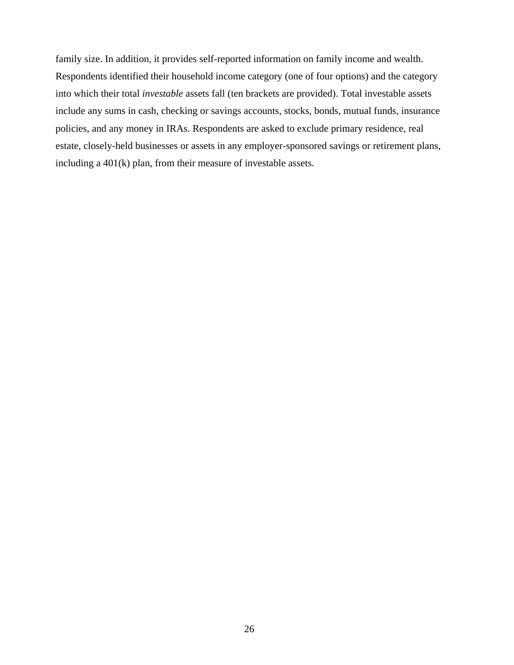family size. In addition, it provides self-reported information on family income and wealth. Respondents identified their household income category (one of four options) and the category into which their total *investable* assets fall (ten brackets are provided). Total investable assets include any sums in cash, checking or savings accounts, stocks, bonds, mutual funds, insurance policies, and any money in IRAs. Respondents are asked to exclude primary residence, real estate, closely-held businesses or assets in any employer-sponsored savings or retirement plans, including a 401(k) plan, from their measure of investable assets.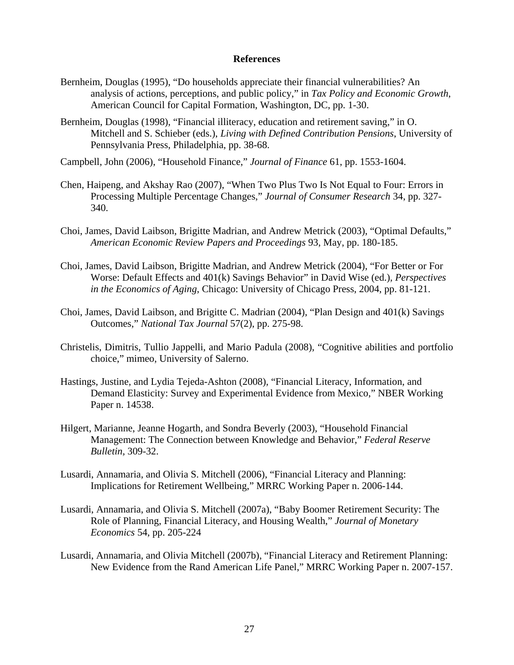### **References**

- Bernheim, Douglas (1995), "Do households appreciate their financial vulnerabilities? An analysis of actions, perceptions, and public policy," in *Tax Policy and Economic Growth*, American Council for Capital Formation, Washington, DC, pp. 1-30.
- Bernheim, Douglas (1998), "Financial illiteracy, education and retirement saving," in O. Mitchell and S. Schieber (eds.), *Living with Defined Contribution Pensions*, University of Pennsylvania Press, Philadelphia, pp. 38-68.
- Campbell, John (2006), "Household Finance," *Journal of Finance* 61, pp. 1553-1604.
- Chen, Haipeng, and Akshay Rao (2007), "When Two Plus Two Is Not Equal to Four: Errors in Processing Multiple Percentage Changes," *Journal of Consumer Research* 34, pp. 327- 340.
- Choi, James, David Laibson, Brigitte Madrian, and Andrew Metrick (2003), "Optimal Defaults," *American Economic Review Papers and Proceedings* 93, May, pp. 180-185.
- Choi, James, David Laibson, Brigitte Madrian, and Andrew Metrick (2004), "For Better or For Worse: Default Effects and 401(k) Savings Behavior" in David Wise (ed.), *Perspectives in the Economics of Aging*, Chicago: University of Chicago Press, 2004, pp. 81-121.
- Choi, James, David Laibson, and Brigitte C. Madrian (2004), "Plan Design and 401(k) Savings Outcomes," *National Tax Journal* 57(2), pp. 275-98.
- Christelis, Dimitris, Tullio Jappelli, and Mario Padula (2008), "Cognitive abilities and portfolio choice," mimeo, University of Salerno.
- Hastings, Justine, and Lydia Tejeda-Ashton (2008), "Financial Literacy, Information, and Demand Elasticity: Survey and Experimental Evidence from Mexico," NBER Working Paper n. 14538.
- Hilgert, Marianne, Jeanne Hogarth, and Sondra Beverly (2003), "Household Financial Management: The Connection between Knowledge and Behavior," *Federal Reserve Bulletin,* 309-32.
- Lusardi, Annamaria, and Olivia S. Mitchell (2006), "Financial Literacy and Planning: Implications for Retirement Wellbeing," MRRC Working Paper n. 2006-144.
- Lusardi, Annamaria, and Olivia S. Mitchell (2007a), "Baby Boomer Retirement Security: The Role of Planning, Financial Literacy, and Housing Wealth," *Journal of Monetary Economics* 54, pp. 205-224
- Lusardi, Annamaria, and Olivia Mitchell (2007b), "Financial Literacy and Retirement Planning: New Evidence from the Rand American Life Panel," MRRC Working Paper n. 2007-157.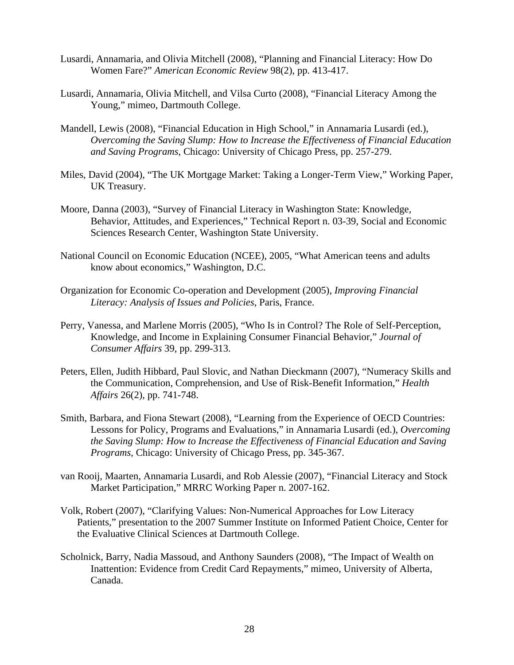- Lusardi, Annamaria, and Olivia Mitchell (2008), "Planning and Financial Literacy: How Do Women Fare?" *American Economic Review* 98(2), pp. 413-417.
- Lusardi, Annamaria, Olivia Mitchell, and Vilsa Curto (2008), "Financial Literacy Among the Young," mimeo, Dartmouth College.
- Mandell, Lewis (2008), "Financial Education in High School," in Annamaria Lusardi (ed.), *Overcoming the Saving Slump: How to Increase the Effectiveness of Financial Education and Saving Programs*, Chicago: University of Chicago Press, pp. 257-279.
- Miles, David (2004), "The UK Mortgage Market: Taking a Longer-Term View," Working Paper, UK Treasury.
- Moore, Danna (2003), "Survey of Financial Literacy in Washington State: Knowledge, Behavior, Attitudes, and Experiences," Technical Report n. 03-39, Social and Economic Sciences Research Center, Washington State University.
- National Council on Economic Education (NCEE), 2005, "What American teens and adults know about economics," Washington, D.C.
- Organization for Economic Co-operation and Development (2005), *Improving Financial Literacy: Analysis of Issues and Policies*, Paris, France.
- Perry, Vanessa, and Marlene Morris (2005), "Who Is in Control? The Role of Self-Perception, Knowledge, and Income in Explaining Consumer Financial Behavior," *Journal of Consumer Affairs* 39, pp. 299-313.
- Peters, Ellen, Judith Hibbard, Paul Slovic, and Nathan Dieckmann (2007), "Numeracy Skills and the Communication, Comprehension, and Use of Risk-Benefit Information," *Health Affairs* 26(2), pp. 741-748.
- Smith, Barbara, and Fiona Stewart (2008), "Learning from the Experience of OECD Countries: Lessons for Policy, Programs and Evaluations," in Annamaria Lusardi (ed.), *Overcoming the Saving Slump: How to Increase the Effectiveness of Financial Education and Saving Programs*, Chicago: University of Chicago Press, pp. 345-367.
- van Rooij, Maarten, Annamaria Lusardi, and Rob Alessie (2007), "Financial Literacy and Stock Market Participation," MRRC Working Paper n. 2007-162.
- Volk, Robert (2007), "Clarifying Values: Non-Numerical Approaches for Low Literacy Patients," presentation to the 2007 Summer Institute on Informed Patient Choice, Center for the Evaluative Clinical Sciences at Dartmouth College.
- Scholnick, Barry, Nadia Massoud, and Anthony Saunders (2008), "The Impact of Wealth on Inattention: Evidence from Credit Card Repayments," mimeo, University of Alberta, Canada.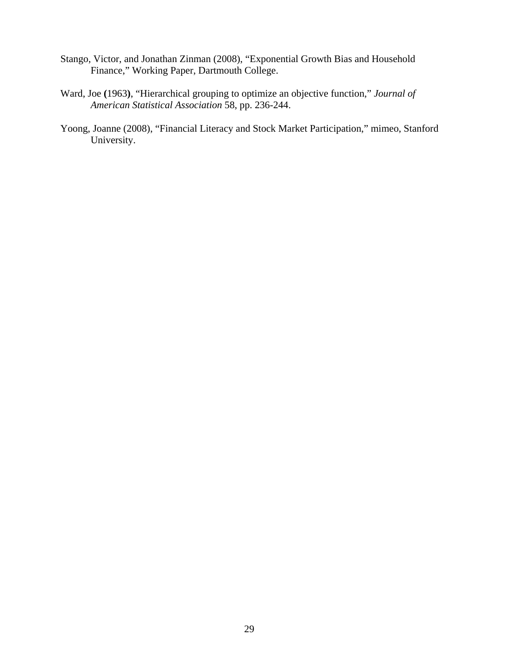- Stango, Victor, and Jonathan Zinman (2008), "Exponential Growth Bias and Household Finance," Working Paper, Dartmouth College.
- Ward, Joe **(**1963**)**, "Hierarchical grouping to optimize an objective function," *Journal of American Statistical Association* 58, pp. 236-244.
- Yoong, Joanne (2008), "Financial Literacy and Stock Market Participation," mimeo, Stanford University.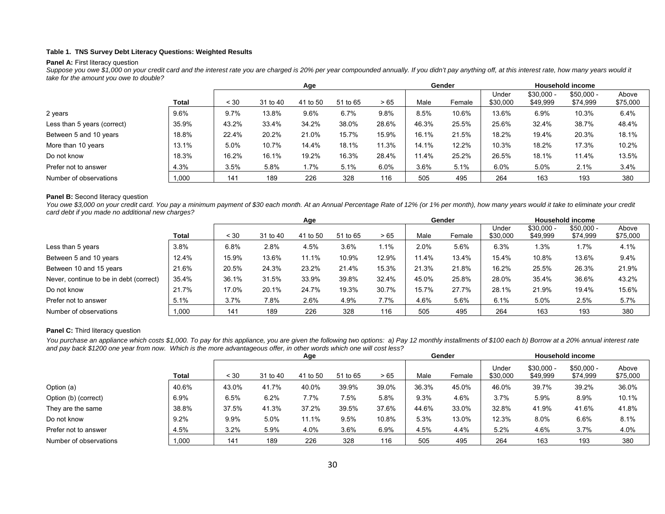#### **Table 1. TNS Survey Debt Literacy Questions: Weighted Results**

#### **Panel A: First literacy question**

Suppose you owe \$1,000 on your credit card and the interest rate you are charged is 20% per year compounded annually. If you didn't pay anything off, at this interest rate, how many years would it *take for the amount you owe to double?*

|                             |              | Age   |          |          |          |       | Gender |        |                   | <b>Household income</b> |                         |                   |
|-----------------------------|--------------|-------|----------|----------|----------|-------|--------|--------|-------------------|-------------------------|-------------------------|-------------------|
|                             | <b>Total</b> | < 30  | 31 to 40 | 41 to 50 | 51 to 65 | >65   | Male   | Female | Under<br>\$30,000 | $$30,000 -$<br>\$49,999 | $$50,000 -$<br>\$74,999 | Above<br>\$75,000 |
| 2 years                     | $9.6\%$      | 9.7%  | 13.8%    | 9.6%     | 6.7%     | 9.8%  | 8.5%   | 10.6%  | 13.6%             | 6.9%                    | 10.3%                   | 6.4%              |
| Less than 5 years (correct) | 35.9%        | 43.2% | 33.4%    | 34.2%    | 38.0%    | 28.6% | 46.3%  | 25.5%  | 25.6%             | 32.4%                   | 38.7%                   | 48.4%             |
| Between 5 and 10 years      | 18.8%        | 22.4% | 20.2%    | 21.0%    | 15.7%    | 15.9% | 16.1%  | 21.5%  | 18.2%             | 19.4%                   | 20.3%                   | 18.1%             |
| More than 10 years          | 13.1%        | 5.0%  | 10.7%    | 14.4%    | 18.1%    | 11.3% | 14.1%  | 12.2%  | 10.3%             | 18.2%                   | 17.3%                   | 10.2%             |
| Do not know                 | 18.3%        | 16.2% | 16.1%    | 19.2%    | 16.3%    | 28.4% | 11.4%  | 25.2%  | 26.5%             | 18.1%                   | 11.4%                   | 13.5%             |
| Prefer not to answer        | 4.3%         | 3.5%  | 5.8%     | $1.7\%$  | 5.1%     | 6.0%  | 3.6%   | 5.1%   | 6.0%              | 5.0%                    | 2.1%                    | 3.4%              |
| Number of observations      | 1,000        | 141   | 189      | 226      | 328      | 116   | 505    | 495    | 264               | 163                     | 193                     | 380               |

#### **Panel B:** Second literacy question

You owe \$3,000 on your credit card. You pay a minimum payment of \$30 each month. At an Annual Percentage Rate of 12% (or 1% per month), how many years would it take to eliminate your credit *card debt if you made no additional new charges?* 

|                                         |       |            |          | Age      |          |       |       | Gender |                   |                         | <b>Household income</b> |                   |
|-----------------------------------------|-------|------------|----------|----------|----------|-------|-------|--------|-------------------|-------------------------|-------------------------|-------------------|
|                                         | Total | $~10^{-1}$ | 31 to 40 | 41 to 50 | 51 to 65 | >65   | Male  | Female | Under<br>\$30,000 | $$30,000 -$<br>\$49,999 | $$50,000 -$<br>\$74,999 | Above<br>\$75,000 |
| Less than 5 years                       | 3.8%  | 6.8%       | 2.8%     | 4.5%     | 3.6%     | 1.1%  | 2.0%  | 5.6%   | 6.3%              | 1.3%                    | 1.7%                    | 4.1%              |
| Between 5 and 10 years                  | 12.4% | 15.9%      | 13.6%    | 11.1%    | 10.9%    | 12.9% | 11.4% | 13.4%  | 15.4%             | 10.8%                   | 13.6%                   | 9.4%              |
| Between 10 and 15 years                 | 21.6% | 20.5%      | 24.3%    | 23.2%    | 21.4%    | 15.3% | 21.3% | 21.8%  | 16.2%             | 25.5%                   | 26.3%                   | 21.9%             |
| Never, continue to be in debt (correct) | 35.4% | 36.1%      | 31.5%    | 33.9%    | 39.8%    | 32.4% | 45.0% | 25.8%  | 28.0%             | 35.4%                   | 36.6%                   | 43.2%             |
| Do not know                             | 21.7% | 17.0%      | 20.1%    | 24.7%    | 19.3%    | 30.7% | 15.7% | 27.7%  | 28.1%             | 21.9%                   | 19.4%                   | 15.6%             |
| Prefer not to answer                    | 5.1%  | 3.7%       | 7.8%     | 2.6%     | 4.9%     | 7.7%  | 4.6%  | 5.6%   | 6.1%              | 5.0%                    | 2.5%                    | 5.7%              |
| Number of observations                  | 1,000 | 141        | 189      | 226      | 328      | 116   | 505   | 495    | 264               | 163                     | 193                     | 380               |

#### **Panel C:** Third literacy question

You purchase an appliance which costs \$1,000. To pay for this appliance, you are given the following two options: a) Pay 12 monthly installments of \$100 each b) Borrow at a 20% annual interest rate *and pay back \$1200 one year from now. Which is the more advantageous offer, in other words which one will cost less?* 

|                        |       | Age   |          |          |          |       |       | Gender |                   |                         | <b>Household income</b> |                   |
|------------------------|-------|-------|----------|----------|----------|-------|-------|--------|-------------------|-------------------------|-------------------------|-------------------|
|                        | Total | < 30  | 31 to 40 | 41 to 50 | 51 to 65 | >65   | Male  | Female | Under<br>\$30,000 | $$30,000 -$<br>\$49,999 | $$50,000 -$<br>\$74,999 | Above<br>\$75,000 |
| Option (a)             | 40.6% | 43.0% | 41.7%    | 40.0%    | 39.9%    | 39.0% | 36.3% | 45.0%  | 46.0%             | 39.7%                   | 39.2%                   | 36.0%             |
| Option (b) (correct)   | 6.9%  | 6.5%  | 6.2%     | 7.7%     | 7.5%     | 5.8%  | 9.3%  | 4.6%   | 3.7%              | 5.9%                    | 8.9%                    | 10.1%             |
| They are the same      | 38.8% | 37.5% | 41.3%    | 37.2%    | 39.5%    | 37.6% | 44.6% | 33.0%  | 32.8%             | 41.9%                   | 41.6%                   | 41.8%             |
| Do not know            | 9.2%  | 9.9%  | 5.0%     | 11.1%    | 9.5%     | 10.8% | 5.3%  | 13.0%  | 12.3%             | 8.0%                    | 6.6%                    | 8.1%              |
| Prefer not to answer   | 4.5%  | 3.2%  | 5.9%     | 4.0%     | 3.6%     | 6.9%  | 4.5%  | 4.4%   | 5.2%              | 4.6%                    | 3.7%                    | 4.0%              |
| Number of observations | 1,000 | 141   | 189      | 226      | 328      | 116   | 505   | 495    | 264               | 163                     | 193                     | 380               |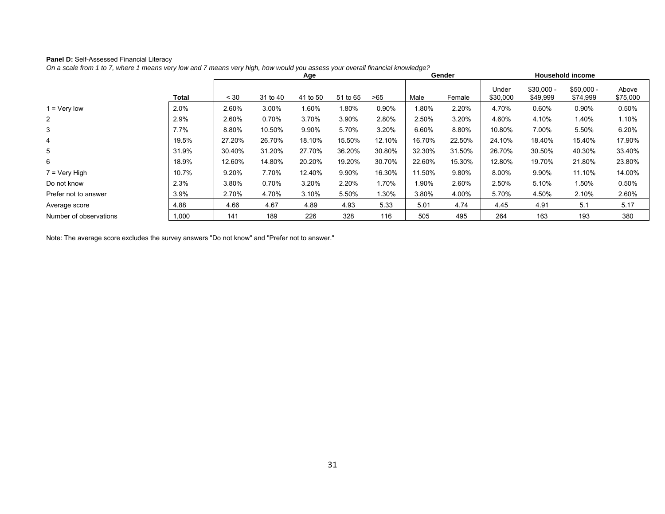### **Panel D:** Self-Assessed Financial Literacy

*On a scale from 1 to 7, where 1 means very low and 7 means very high, how would you assess your overall financial knowledge?* 

|                        |              | Age    |          |          |          |        |        | Gender |                   |                         | <b>Household income</b> |                   |
|------------------------|--------------|--------|----------|----------|----------|--------|--------|--------|-------------------|-------------------------|-------------------------|-------------------|
|                        | <b>Total</b> | < 30   | 31 to 40 | 41 to 50 | 51 to 65 | >65    | Male   | Female | Under<br>\$30,000 | $$30,000 -$<br>\$49,999 | $$50,000 -$<br>\$74,999 | Above<br>\$75,000 |
| 1 = Very low           | 2.0%         | 2.60%  | 3.00%    | 1.60%    | 1.80%    | 0.90%  | 1.80%  | 2.20%  | 4.70%             | 0.60%                   | 0.90%                   | 0.50%             |
| $\mathbf{2}$           | 2.9%         | 2.60%  | 0.70%    | 3.70%    | 3.90%    | 2.80%  | 2.50%  | 3.20%  | 4.60%             | 4.10%                   | 1.40%                   | 1.10%             |
| 3                      | $7.7\%$      | 8.80%  | 10.50%   | 9.90%    | 5.70%    | 3.20%  | 6.60%  | 8.80%  | 10.80%            | 7.00%                   | 5.50%                   | 6.20%             |
| 4                      | 19.5%        | 27.20% | 26.70%   | 18.10%   | 15.50%   | 12.10% | 16.70% | 22.50% | 24.10%            | 18.40%                  | 15.40%                  | 17.90%            |
| 5                      | 31.9%        | 30.40% | 31.20%   | 27.70%   | 36.20%   | 30.80% | 32.30% | 31.50% | 26.70%            | 30.50%                  | 40.30%                  | 33.40%            |
| 6                      | 18.9%        | 12.60% | 14.80%   | 20.20%   | 19.20%   | 30.70% | 22.60% | 15.30% | 12.80%            | 19.70%                  | 21.80%                  | 23.80%            |
| $7 = \text{Very High}$ | 10.7%        | 9.20%  | 7.70%    | 12.40%   | 9.90%    | 16.30% | 11.50% | 9.80%  | 8.00%             | 9.90%                   | 11.10%                  | 14.00%            |
| Do not know            | 2.3%         | 3.80%  | 0.70%    | 3.20%    | 2.20%    | 1.70%  | 1.90%  | 2.60%  | 2.50%             | 5.10%                   | 1.50%                   | 0.50%             |
| Prefer not to answer   | 3.9%         | 2.70%  | 4.70%    | 3.10%    | 5.50%    | .30%   | 3.80%  | 4.00%  | 5.70%             | 4.50%                   | 2.10%                   | 2.60%             |
| Average score          | 4.88         | 4.66   | 4.67     | 4.89     | 4.93     | 5.33   | 5.01   | 4.74   | 4.45              | 4.91                    | 5.1                     | 5.17              |
| Number of observations | 1,000        | 141    | 189      | 226      | 328      | 116    | 505    | 495    | 264               | 163                     | 193                     | 380               |

Note: The average score excludes the survey answers "Do not know" and "Prefer not to answer."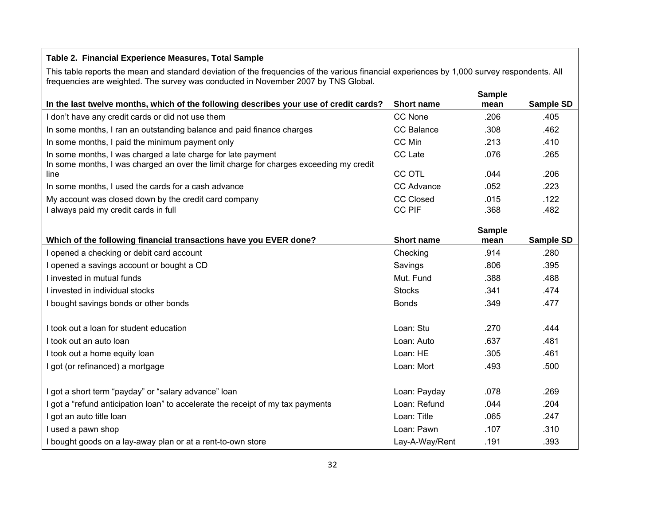## **Table 2. Financial Experience Measures, Total Sample**

This table reports the mean and standard deviation of the frequencies of the various financial experiences by 1,000 survey respondents. All frequencies are weighted. The survey was conducted in November 2007 by TNS Global.

|                                                                                        |                   | <b>Sample</b>         |           |
|----------------------------------------------------------------------------------------|-------------------|-----------------------|-----------|
| In the last twelve months, which of the following describes your use of credit cards?  | <b>Short name</b> | mean                  | Sample SD |
| I don't have any credit cards or did not use them                                      | CC None           | .206                  | .405      |
| In some months, I ran an outstanding balance and paid finance charges                  | <b>CC Balance</b> | .308                  | .462      |
| In some months, I paid the minimum payment only                                        | CC Min            | .213                  | .410      |
| In some months, I was charged a late charge for late payment                           | <b>CC</b> Late    | .076                  | .265      |
| In some months, I was charged an over the limit charge for charges exceeding my credit |                   |                       |           |
| line                                                                                   | <b>CC OTL</b>     | .044                  | .206      |
| In some months, I used the cards for a cash advance                                    | <b>CC Advance</b> | .052                  | .223      |
| My account was closed down by the credit card company                                  | <b>CC Closed</b>  | .015                  | .122      |
| I always paid my credit cards in full                                                  | <b>CC PIF</b>     | .368                  | .482      |
|                                                                                        |                   |                       |           |
| Which of the following financial transactions have you EVER done?                      | <b>Short name</b> | <b>Sample</b><br>mean | Sample SD |
| I opened a checking or debit card account                                              | Checking          | .914                  | .280      |
| I opened a savings account or bought a CD                                              | Savings           | .806                  | .395      |
| I invested in mutual funds                                                             | Mut. Fund         | .388                  | .488      |
| I invested in individual stocks                                                        | <b>Stocks</b>     | .341                  | .474      |
| I bought savings bonds or other bonds                                                  | <b>Bonds</b>      | .349                  | .477      |
| I took out a loan for student education                                                | Loan: Stu         | .270                  | .444      |
| I took out an auto loan                                                                | Loan: Auto        | .637                  | .481      |
| I took out a home equity loan                                                          | Loan: HE          | .305                  | .461      |
| I got (or refinanced) a mortgage                                                       | Loan: Mort        | .493                  | .500      |
| I got a short term "payday" or "salary advance" loan                                   | Loan: Payday      | .078                  | .269      |
| I got a "refund anticipation loan" to accelerate the receipt of my tax payments        | Loan: Refund      | .044                  | .204      |
| I got an auto title loan                                                               | Loan: Title       | .065                  | .247      |
| I used a pawn shop                                                                     | Loan: Pawn        | .107                  | .310      |
| I bought goods on a lay-away plan or at a rent-to-own store                            | Lay-A-Way/Rent    | .191                  | .393      |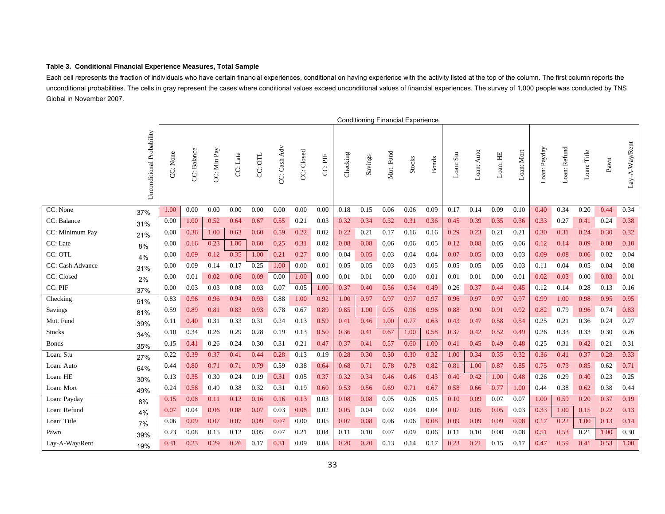#### **Table 3. Conditional Financial Experience Measures, Total Sample**

Each cell represents the fraction of individuals who have certain financial experiences, conditional on having experience with the activity listed at the top of the column. The first column reports the unconditional probabilities. The cells in gray represent the cases where conditional values exceed unconditional values of financial experiences. The survey of 1,000 people was conducted by TNS Global in November 2007.

|                  |                           |          |             |             |          |         |              |            |         |          |         |           | <b>Conditioning Financial Experience</b> |              |           |            |                       |            |              |              |                                 |      |                |
|------------------|---------------------------|----------|-------------|-------------|----------|---------|--------------|------------|---------|----------|---------|-----------|------------------------------------------|--------------|-----------|------------|-----------------------|------------|--------------|--------------|---------------------------------|------|----------------|
|                  | Unconditional Probability | CC: None | CC: Balance | CC: Min Pay | CC: Late | CC: OTL | CC: Cash Adv | CC: Closed | CC: PIF | Checking | Savings | Mut. Fund | Stocks                                   | <b>Bonds</b> | Loan: Stu | Loan: Auto | L <sub>o</sub> an: HE | Loan: Mort | Loan: Payday | Loan: Refund | $\mathop{\mathrm{Lom}}$ : Title | Pawn | Lay-A-Way/Rent |
| CC: None         | 37%                       | 1.00     | 0.00        | 0.00        | 0.00     | 0.00    | 0.00         | 0.00       | 0.00    | 0.18     | 0.15    | 0.06      | 0.06                                     | 0.09         | 0.17      | 0.14       | 0.09                  | 0.10       | 0.40         | 0.34         | 0.20                            | 0.44 | 0.34           |
| CC: Balance      | 31%                       | 0.00     | 1.00        | 0.52        | 0.64     | 0.67    | 0.55         | 0.21       | 0.03    | 0.32     | 0.34    | 0.32      | 0.31                                     | 0.36         | 0.45      | 0.39       | 0.35                  | 0.36       | 0.33         | 0.27         | 0.41                            | 0.24 | 0.38           |
| CC: Minimum Pay  | 21%                       | 0.00     | 0.36        | 1.00        | 0.63     | 0.60    | 0.59         | 0.22       | 0.02    | 0.22     | 0.21    | 0.17      | 0.16                                     | 0.16         | 0.29      | 0.23       | 0.21                  | 0.21       | 0.30         | 0.31         | 0.24                            | 0.30 | 0.32           |
| CC: Late         | 8%                        | 0.00     | 0.16        | 0.23        | 1.00     | 0.60    | 0.25         | 0.31       | 0.02    | 0.08     | 0.08    | 0.06      | 0.06                                     | 0.05         | 0.12      | 0.08       | 0.05                  | 0.06       | 0.12         | 0.14         | 0.09                            | 0.08 | 0.10           |
| CC: OTL          | 4%                        | 0.00     | 0.09        | 0.12        | 0.35     | 1.00    | 0.21         | 0.27       | 0.00    | 0.04     | 0.05    | 0.03      | 0.04                                     | 0.04         | 0.07      | 0.05       | 0.03                  | 0.03       | 0.09         | 0.08         | 0.06                            | 0.02 | 0.04           |
| CC: Cash Advance | 31%                       | 0.00     | 0.09        | 0.14        | 0.17     | 0.25    | 1.00         | 0.00       | 0.01    | 0.05     | 0.05    | 0.03      | 0.03                                     | 0.05         | 0.05      | 0.05       | 0.05                  | 0.03       | 0.11         | 0.04         | 0.05                            | 0.04 | 0.08           |
| CC: Closed       | 2%                        | 0.00     | 0.01        | 0.02        | 0.06     | 0.09    | 0.00         | 1.00       | 0.00    | 0.01     | 0.01    | 0.00      | 0.00                                     | 0.01         | 0.01      | 0.01       | 0.00                  | 0.01       | 0.02         | 0.03         | 0.00                            | 0.03 | 0.01           |
| CC: PIF          | 37%                       | 0.00     | 0.03        | 0.03        | 0.08     | 0.03    | 0.07         | 0.05       | 1.00    | 0.37     | 0.40    | 0.56      | 0.54                                     | 0.49         | 0.26      | 0.37       | 0.44                  | 0.45       | 0.12         | 0.14         | 0.28                            | 0.13 | 0.16           |
| Checking         | 91%                       | 0.83     | 0.96        | 0.96        | 0.94     | 0.93    | 0.88         | 1.00       | 0.92    | 1.00     | 0.97    | 0.97      | 0.97                                     | 0.97         | 0.96      | 0.97       | 0.97                  | 0.97       | 0.99         | 1.00         | 0.98                            | 0.95 | 0.95           |
| Savings          | 81%                       | 0.59     | 0.89        | 0.81        | 0.83     | 0.93    | 0.78         | 0.67       | 0.89    | 0.85     | 1.00    | 0.95      | 0.96                                     | 0.96         | 0.88      | 0.90       | 0.91                  | 0.92       | 0.82         | 0.79         | 0.96                            | 0.74 | 0.83           |
| Mut. Fund        | 39%                       | 0.11     | 0.40        | 0.31        | 0.33     | 0.31    | 0.24         | 0.13       | 0.59    | 0.41     | 0.46    | 1.00      | 0.77                                     | 0.63         | 0.43      | 0.47       | 0.58                  | 0.54       | 0.25         | 0.21         | 0.36                            | 0.24 | 0.27           |
| Stocks           | 34%                       | 0.10     | 0.34        | 0.26        | 0.29     | 0.28    | 0.19         | 0.13       | 0.50    | 0.36     | 0.41    | 0.67      | 1.00                                     | 0.58         | 0.37      | 0.42       | 0.52                  | 0.49       | 0.26         | 0.33         | 0.33                            | 0.30 | 0.26           |
| <b>B</b> onds    | 35%                       | 0.15     | 0.41        | 0.26        | 0.24     | 0.30    | 0.31         | 0.21       | 0.47    | 0.37     | 0.41    | 0.57      | 0.60                                     | 1.00         | 0.41      | 0.45       | 0.49                  | 0.48       | 0.25         | 0.31         | 0.42                            | 0.21 | 0.31           |
| Loan: Stu        | 27%                       | 0.22     | 0.39        | 0.37        | 0.41     | 0.44    | 0.28         | 0.13       | 0.19    | 0.28     | 0.30    | 0.30      | 0.30                                     | 0.32         | 1.00      | 0.34       | 0.35                  | 0.32       | 0.36         | 0.41         | 0.37                            | 0.28 | 0.33           |
| Loan: Auto       | 64%                       | 0.44     | 0.80        | 0.71        | 0.71     | 0.79    | 0.59         | 0.38       | 0.64    | 0.68     | 0.71    | 0.78      | 0.78                                     | 0.82         | 0.81      | 1.00       | 0.87                  | 0.85       | 0.75         | 0.73         | 0.85                            | 0.62 | 0.71           |
| Loan: HE         | 30%                       | 0.13     | 0.35        | 0.30        | 0.24     | 0.19    | 0.31         | 0.05       | 0.37    | 0.32     | 0.34    | 0.46      | 0.46                                     | 0.43         | 0.40      | 0.42       | 1.00                  | 0.48       | 0.26         | 0.29         | 0.40                            | 0.23 | 0.25           |
| Loan: Mort       | 49%                       | 0.24     | 0.58        | 0.49        | 0.38     | 0.32    | 0.31         | 0.19       | 0.60    | 0.53     | 0.56    | 0.69      | 0.71                                     | 0.67         | 0.58      | 0.66       | 0.77                  | 1.00       | 0.44         | 0.38         | 0.62                            | 0.38 | 0.44           |
| Loan: Payday     | 8%                        | 0.15     | 0.08        | 0.11        | 0.12     | 0.16    | 0.16         | 0.13       | 0.03    | 0.08     | 0.08    | 0.05      | 0.06                                     | 0.05         | 0.10      | 0.09       | 0.07                  | 0.07       | 1.00         | 0.59         | 0.20                            | 0.37 | 0.19           |
| Loan: Refund     | 4%                        | 0.07     | 0.04        | 0.06        | 0.08     | 0.07    | 0.03         | 0.08       | 0.02    | 0.05     | 0.04    | 0.02      | 0.04                                     | 0.04         | 0.07      | 0.05       | 0.05                  | 0.03       | 0.33         | 1.00         | 0.15                            | 0.22 | 0.13           |
| Loan: Title      | 7%                        | 0.06     | 0.09        | 0.07        | 0.07     | 0.09    | 0.07         | 0.00       | 0.05    | 0.07     | 0.08    | 0.06      | 0.06                                     | 0.08         | 0.09      | 0.09       | 0.09                  | 0.08       | 0.17         | 0.22         | 1.00                            | 0.13 | 0.14           |
| Pawn             | 39%                       | 0.23     | 0.08        | 0.15        | 0.12     | 0.05    | 0.07         | 0.21       | 0.04    | 0.11     | 0.10    | 0.07      | 0.09                                     | 0.06         | 0.11      | 0.10       | 0.08                  | 0.08       | 0.51         | 0.53         | 0.21                            | 1.00 | 0.30           |
| Lay-A-Way/Rent   | 19%                       | 0.31     | 0.23        | 0.29        | 0.26     | 0.17    | 0.31         | 0.09       | 0.08    | 0.20     | 0.20    | 0.13      | 0.14                                     | 0.17         | 0.23      | 0.21       | 0.15                  | 0.17       | 0.47         | 0.59         | 0.41                            | 0.53 | 1.00           |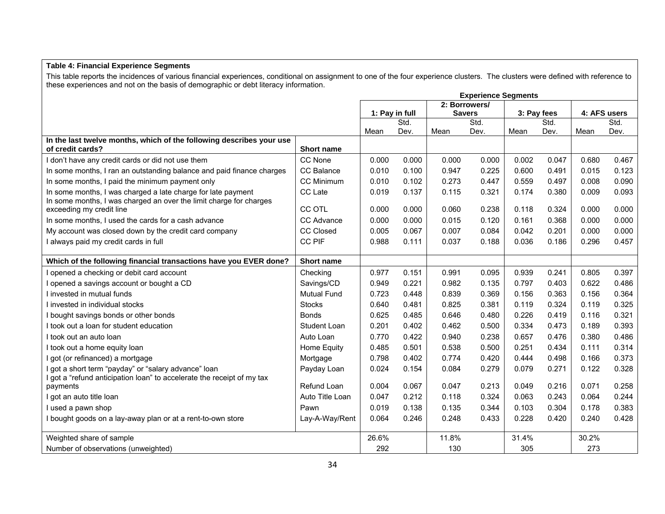### **Table 4: Financial Experience Segments**

This table reports the incidences of various financial experiences, conditional on assignment to one of the four experience clusters. The clusters were defined with reference to these experiences and not on the basis of demographic or debt literacy information.

|                                                                                                                                    |                    | <b>Experience Segments</b> |                |               |               |             |       |       |              |
|------------------------------------------------------------------------------------------------------------------------------------|--------------------|----------------------------|----------------|---------------|---------------|-------------|-------|-------|--------------|
|                                                                                                                                    |                    |                            |                | 2: Borrowers/ |               |             |       |       |              |
|                                                                                                                                    |                    |                            | 1: Pay in full |               | <b>Savers</b> | 3: Pay fees |       |       | 4: AFS users |
|                                                                                                                                    |                    |                            | Std.           |               | Std.          |             | Std.  |       | Std.         |
| In the last twelve months, which of the following describes your use                                                               |                    | Mean                       | Dev.           | Mean          | Dev.          | Mean        | Dev.  | Mean  | Dev.         |
| of credit cards?                                                                                                                   | <b>Short name</b>  |                            |                |               |               |             |       |       |              |
| I don't have any credit cards or did not use them                                                                                  | CC None            | 0.000                      | 0.000          | 0.000         | 0.000         | 0.002       | 0.047 | 0.680 | 0.467        |
| In some months, I ran an outstanding balance and paid finance charges                                                              | CC Balance         | 0.010                      | 0.100          | 0.947         | 0.225         | 0.600       | 0.491 | 0.015 | 0.123        |
| In some months, I paid the minimum payment only                                                                                    | <b>CC Minimum</b>  | 0.010                      | 0.102          | 0.273         | 0.447         | 0.559       | 0.497 | 0.008 | 0.090        |
| In some months, I was charged a late charge for late payment<br>In some months, I was charged an over the limit charge for charges | CC Late            | 0.019                      | 0.137          | 0.115         | 0.321         | 0.174       | 0.380 | 0.009 | 0.093        |
| exceeding my credit line                                                                                                           | <b>CC OTL</b>      | 0.000                      | 0.000          | 0.060         | 0.238         | 0.118       | 0.324 | 0.000 | 0.000        |
| In some months, I used the cards for a cash advance                                                                                | CC Advance         | 0.000                      | 0.000          | 0.015         | 0.120         | 0.161       | 0.368 | 0.000 | 0.000        |
| My account was closed down by the credit card company                                                                              | <b>CC Closed</b>   | 0.005                      | 0.067          | 0.007         | 0.084         | 0.042       | 0.201 | 0.000 | 0.000        |
| I always paid my credit cards in full                                                                                              | <b>CC PIF</b>      | 0.988                      | 0.111          | 0.037         | 0.188         | 0.036       | 0.186 | 0.296 | 0.457        |
| Which of the following financial transactions have you EVER done?                                                                  | <b>Short name</b>  |                            |                |               |               |             |       |       |              |
| I opened a checking or debit card account                                                                                          | Checking           | 0.977                      | 0.151          | 0.991         | 0.095         | 0.939       | 0.241 | 0.805 | 0.397        |
| I opened a savings account or bought a CD                                                                                          | Savings/CD         | 0.949                      | 0.221          | 0.982         | 0.135         | 0.797       | 0.403 | 0.622 | 0.486        |
| I invested in mutual funds                                                                                                         | <b>Mutual Fund</b> | 0.723                      | 0.448          | 0.839         | 0.369         | 0.156       | 0.363 | 0.156 | 0.364        |
| I invested in individual stocks                                                                                                    | <b>Stocks</b>      | 0.640                      | 0.481          | 0.825         | 0.381         | 0.119       | 0.324 | 0.119 | 0.325        |
| I bought savings bonds or other bonds                                                                                              | <b>Bonds</b>       | 0.625                      | 0.485          | 0.646         | 0.480         | 0.226       | 0.419 | 0.116 | 0.321        |
| I took out a loan for student education                                                                                            | Student Loan       | 0.201                      | 0.402          | 0.462         | 0.500         | 0.334       | 0.473 | 0.189 | 0.393        |
| I took out an auto loan                                                                                                            | Auto Loan          | 0.770                      | 0.422          | 0.940         | 0.238         | 0.657       | 0.476 | 0.380 | 0.486        |
| I took out a home equity loan                                                                                                      | Home Equity        | 0.485                      | 0.501          | 0.538         | 0.500         | 0.251       | 0.434 | 0.111 | 0.314        |
| I got (or refinanced) a mortgage                                                                                                   | Mortgage           | 0.798                      | 0.402          | 0.774         | 0.420         | 0.444       | 0.498 | 0.166 | 0.373        |
| got a short term "payday" or "salary advance" loan<br>got a "refund anticipation loan" to accelerate the receipt of my tax         | Payday Loan        | 0.024                      | 0.154          | 0.084         | 0.279         | 0.079       | 0.271 | 0.122 | 0.328        |
| payments                                                                                                                           | Refund Loan        | 0.004                      | 0.067          | 0.047         | 0.213         | 0.049       | 0.216 | 0.071 | 0.258        |
| I got an auto title loan                                                                                                           | Auto Title Loan    | 0.047                      | 0.212          | 0.118         | 0.324         | 0.063       | 0.243 | 0.064 | 0.244        |
| I used a pawn shop                                                                                                                 | Pawn               | 0.019                      | 0.138          | 0.135         | 0.344         | 0.103       | 0.304 | 0.178 | 0.383        |
| I bought goods on a lay-away plan or at a rent-to-own store                                                                        | Lay-A-Way/Rent     | 0.064                      | 0.246          | 0.248         | 0.433         | 0.228       | 0.420 | 0.240 | 0.428        |
| Weighted share of sample                                                                                                           |                    | 26.6%                      |                | 11.8%         |               | 31.4%       |       | 30.2% |              |
| Number of observations (unweighted)                                                                                                |                    | 292                        |                | 130           |               | 305         |       | 273   |              |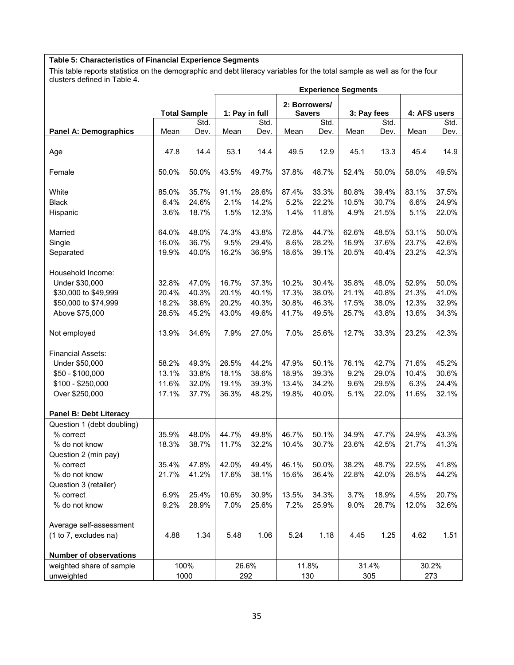### **Table 5: Characteristics of Financial Experience Segments**

This table reports statistics on the demographic and debt literacy variables for the total sample as well as for the four clusters defined in Table 4.

|                               |       |                     |       |                |       | <b>Experience Segments</b> |       |             |       |              |  |  |  |  |
|-------------------------------|-------|---------------------|-------|----------------|-------|----------------------------|-------|-------------|-------|--------------|--|--|--|--|
|                               |       |                     |       |                |       | 2: Borrowers/              |       |             |       |              |  |  |  |  |
|                               |       | <b>Total Sample</b> |       | 1: Pay in full |       | <b>Savers</b>              |       | 3: Pay fees |       | 4: AFS users |  |  |  |  |
|                               |       | Std.                |       | Std.           |       | Std.                       |       | Std.        |       | Std.         |  |  |  |  |
| <b>Panel A: Demographics</b>  | Mean  | Dev.                | Mean  | Dev.           | Mean  | Dev.                       | Mean  | Dev.        | Mean  | Dev.         |  |  |  |  |
|                               |       |                     |       |                |       |                            |       |             |       |              |  |  |  |  |
| Age                           | 47.8  | 14.4                | 53.1  | 14.4           | 49.5  | 12.9                       | 45.1  | 13.3        | 45.4  | 14.9         |  |  |  |  |
|                               |       |                     |       |                |       |                            |       |             |       |              |  |  |  |  |
| Female                        | 50.0% | 50.0%               | 43.5% | 49.7%          | 37.8% | 48.7%                      | 52.4% | 50.0%       | 58.0% | 49.5%        |  |  |  |  |
|                               |       |                     |       |                |       |                            |       |             |       |              |  |  |  |  |
| White                         | 85.0% | 35.7%               | 91.1% | 28.6%          | 87.4% | 33.3%                      | 80.8% | 39.4%       | 83.1% | 37.5%        |  |  |  |  |
| <b>Black</b>                  | 6.4%  | 24.6%               | 2.1%  | 14.2%          | 5.2%  | 22.2%                      | 10.5% | 30.7%       | 6.6%  | 24.9%        |  |  |  |  |
| Hispanic                      | 3.6%  | 18.7%               | 1.5%  | 12.3%          | 1.4%  | 11.8%                      | 4.9%  | 21.5%       | 5.1%  | 22.0%        |  |  |  |  |
|                               |       |                     |       |                |       |                            |       |             |       |              |  |  |  |  |
| Married                       | 64.0% | 48.0%               | 74.3% | 43.8%          | 72.8% | 44.7%                      | 62.6% | 48.5%       | 53.1% | 50.0%        |  |  |  |  |
| Single                        | 16.0% | 36.7%               | 9.5%  | 29.4%          | 8.6%  | 28.2%                      | 16.9% | 37.6%       | 23.7% | 42.6%        |  |  |  |  |
| Separated                     | 19.9% | 40.0%               | 16.2% | 36.9%          | 18.6% | 39.1%                      | 20.5% | 40.4%       | 23.2% | 42.3%        |  |  |  |  |
|                               |       |                     |       |                |       |                            |       |             |       |              |  |  |  |  |
| Household Income:             |       |                     |       |                |       |                            |       |             |       |              |  |  |  |  |
| Under \$30,000                | 32.8% | 47.0%               | 16.7% | 37.3%          | 10.2% | 30.4%                      | 35.8% | 48.0%       | 52.9% | 50.0%        |  |  |  |  |
| \$30,000 to \$49,999          | 20.4% | 40.3%               | 20.1% | 40.1%          | 17.3% | 38.0%                      | 21.1% | 40.8%       | 21.3% | 41.0%        |  |  |  |  |
| \$50,000 to \$74,999          | 18.2% | 38.6%               | 20.2% | 40.3%          | 30.8% | 46.3%                      | 17.5% | 38.0%       | 12.3% | 32.9%        |  |  |  |  |
| Above \$75,000                | 28.5% | 45.2%               | 43.0% | 49.6%          | 41.7% | 49.5%                      | 25.7% | 43.8%       | 13.6% | 34.3%        |  |  |  |  |
|                               |       |                     |       |                |       |                            |       |             |       |              |  |  |  |  |
| Not employed                  | 13.9% | 34.6%               | 7.9%  | 27.0%          | 7.0%  | 25.6%                      | 12.7% | 33.3%       | 23.2% | 42.3%        |  |  |  |  |
|                               |       |                     |       |                |       |                            |       |             |       |              |  |  |  |  |
| <b>Financial Assets:</b>      |       |                     |       |                |       |                            |       |             |       |              |  |  |  |  |
| Under \$50,000                | 58.2% | 49.3%               | 26.5% | 44.2%          | 47.9% | 50.1%                      | 76.1% | 42.7%       | 71.6% | 45.2%        |  |  |  |  |
| \$50 - \$100,000              | 13.1% | 33.8%               | 18.1% | 38.6%          | 18.9% | 39.3%                      | 9.2%  | 29.0%       | 10.4% | 30.6%        |  |  |  |  |
| \$100 - \$250,000             | 11.6% | 32.0%               | 19.1% | 39.3%          | 13.4% | 34.2%                      | 9.6%  | 29.5%       | 6.3%  | 24.4%        |  |  |  |  |
| Over \$250,000                | 17.1% | 37.7%               | 36.3% | 48.2%          | 19.8% | 40.0%                      | 5.1%  | 22.0%       | 11.6% | 32.1%        |  |  |  |  |
|                               |       |                     |       |                |       |                            |       |             |       |              |  |  |  |  |
| Panel B: Debt Literacy        |       |                     |       |                |       |                            |       |             |       |              |  |  |  |  |
| Question 1 (debt doubling)    |       |                     |       |                |       |                            |       |             |       |              |  |  |  |  |
| % correct                     | 35.9% | 48.0%               | 44.7% | 49.8%          | 46.7% | 50.1%                      | 34.9% | 47.7%       | 24.9% | 43.3%        |  |  |  |  |
| % do not know                 | 18.3% | 38.7%               | 11.7% | 32.2%          | 10.4% | 30.7%                      | 23.6% | 42.5%       | 21.7% | 41.3%        |  |  |  |  |
| Question 2 (min pay)          |       |                     |       |                |       |                            |       |             |       |              |  |  |  |  |
| % correct                     | 35.4% | 47.8%               | 42.0% | 49.4%          | 46.1% | 50.0%                      | 38.2% | 48.7%       | 22.5% | 41.8%        |  |  |  |  |
| % do not know                 | 21.7% | 41.2%               | 17.6% | 38.1%          | 15.6% | 36.4%                      | 22.8% | 42.0%       | 26.5% | 44.2%        |  |  |  |  |
| Question 3 (retailer)         |       |                     |       |                |       |                            |       |             |       |              |  |  |  |  |
| % correct                     | 6.9%  | 25.4%               | 10.6% | 30.9%          | 13.5% | 34.3%                      | 3.7%  | 18.9%       | 4.5%  | 20.7%        |  |  |  |  |
| % do not know                 | 9.2%  | 28.9%               | 7.0%  |                | 7.2%  | 25.9%                      | 9.0%  |             |       |              |  |  |  |  |
|                               |       |                     |       | 25.6%          |       |                            |       | 28.7%       | 12.0% | 32.6%        |  |  |  |  |
| Average self-assessment       |       |                     |       |                |       |                            |       |             |       |              |  |  |  |  |
| (1 to 7, excludes na)         | 4.88  | 1.34                | 5.48  | 1.06           | 5.24  | 1.18                       | 4.45  | 1.25        | 4.62  | 1.51         |  |  |  |  |
|                               |       |                     |       |                |       |                            |       |             |       |              |  |  |  |  |
| <b>Number of observations</b> |       |                     |       |                |       |                            |       |             |       |              |  |  |  |  |
| weighted share of sample      |       | 100%                |       | 26.6%          |       | 11.8%                      |       | 31.4%       |       | 30.2%        |  |  |  |  |
| unweighted                    |       | 1000                |       | 292            |       | 130                        |       | 305         |       | 273          |  |  |  |  |
|                               |       |                     |       |                |       |                            |       |             |       |              |  |  |  |  |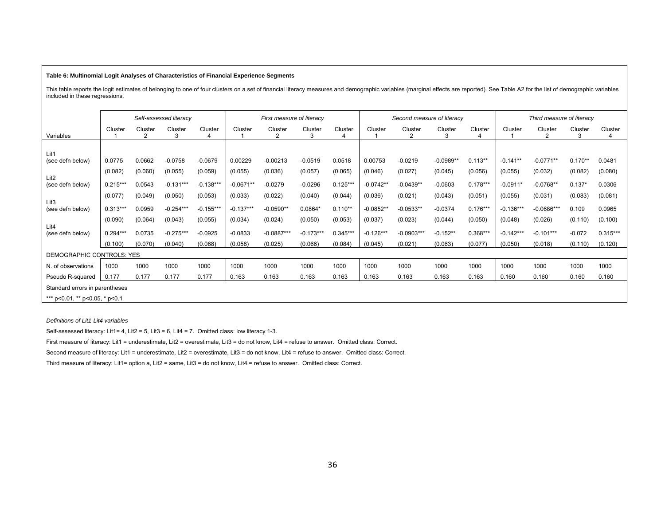#### **Table 6: Multinomial Logit Analyses of Characteristics of Financial Experience Segments**

This table reports the logit estimates of belonging to one of four clusters on a set of financial literacy measures and demographic variables (marginal effects are reported). See Table A2 for the list of demographic variab included in these regressions.

|                                      |            |                          | Self-assessed literacy |             |             | First measure of literacy |              |            |             | Second measure of literacy |              |            |             | Third measure of literacy |           |            |
|--------------------------------------|------------|--------------------------|------------------------|-------------|-------------|---------------------------|--------------|------------|-------------|----------------------------|--------------|------------|-------------|---------------------------|-----------|------------|
| Variables                            | Cluster    | Cluster<br>$\mathcal{P}$ | Cluster<br>3           | Cluster     | Cluster     | Cluster<br>2              | Cluster<br>3 | Cluster    | Cluster     | Cluster<br>$\mathcal{P}$   | Cluster<br>3 | Cluster    | Cluster     | Cluster<br>2              | Cluster   | Cluster    |
|                                      |            |                          |                        |             |             |                           |              |            |             |                            |              |            |             |                           |           |            |
| Lit1                                 | 0.0775     |                          |                        |             |             |                           |              |            | 0.00753     |                            |              |            | $-0.141**$  |                           |           |            |
| (see defn below)                     |            | 0.0662                   | $-0.0758$              | $-0.0679$   | 0.00229     | $-0.00213$                | $-0.0519$    | 0.0518     |             | $-0.0219$                  | $-0.0989**$  | $0.113**$  |             | $-0.0771**$               | $0.170**$ | 0.0481     |
|                                      | (0.082)    | (0.060)                  | (0.055)                | (0.059)     | (0.055)     | (0.036)                   | (0.057)      | (0.065)    | (0.046)     | (0.027)                    | (0.045)      | (0.056)    | (0.055)     | (0.032)                   | (0.082)   | (0.080)    |
| Lit <sub>2</sub><br>(see defn below) | $0.215***$ | 0.0543                   | $-0.131***$            | $-0.138***$ | $-0.0671**$ | $-0.0279$                 | $-0.0296$    | $0.125***$ | $-0.0742**$ | $-0.0439**$                | $-0.0603$    | $0.178***$ | $-0.0911*$  | $-0.0768**$               | $0.137*$  | 0.0306     |
| Lit <sub>3</sub>                     | (0.077)    | (0.049)                  | (0.050)                | (0.053)     | (0.033)     | (0.022)                   | (0.040)      | (0.044)    | (0.036)     | (0.021)                    | (0.043)      | (0.051)    | (0.055)     | (0.031)                   | (0.083)   | (0.081)    |
| (see defn below)                     | $0.313***$ | 0.0959                   | $-0.254***$            | $-0.155***$ | $-0.137***$ | $-0.0590**$               | $0.0864*$    | $0.110**$  | $-0.0852**$ | $-0.0533**$                | $-0.0374$    | $0.176***$ | $-0.136***$ | $-0.0686***$              | 0.109     | 0.0965     |
|                                      | (0.090)    | (0.064)                  | (0.043)                | (0.055)     | (0.034)     | (0.024)                   | (0.050)      | (0.053)    | (0.037)     | (0.023)                    | (0.044)      | (0.050)    | (0.048)     | (0.026)                   | (0.110)   | (0.100)    |
| Lit <sub>4</sub>                     |            |                          |                        |             |             |                           |              |            |             |                            |              |            |             |                           |           |            |
| (see defn below)                     | $0.294***$ | 0.0735                   | $-0.275***$            | $-0.0925$   | $-0.0833$   | $-0.0887***$              | $-0.173***$  | $0.345***$ | $-0.126***$ | $-0.0903***$               | $-0.152**$   | $0.368***$ | $-0.142***$ | $-0.101***$               | $-0.072$  | $0.315***$ |
|                                      | (0.100)    | (0.070)                  | (0.040)                | (0.068)     | (0.058)     | (0.025)                   | (0.066)      | (0.084)    | (0.045)     | (0.021)                    | (0.063)      | (0.077)    | (0.050)     | (0.018)                   | (0.110)   | (0.120)    |
| DEMOGRAPHIC CONTROLS: YES            |            |                          |                        |             |             |                           |              |            |             |                            |              |            |             |                           |           |            |
| N. of observations                   | 1000       | 1000                     | 1000                   | 1000        | 1000        | 1000                      | 1000         | 1000       | 1000        | 1000                       | 1000         | 1000       | 1000        | 1000                      | 1000      | 1000       |
| Pseudo R-squared                     | 0.177      | 0.177                    | 0.177                  | 0.177       | 0.163       | 0.163                     | 0.163        | 0.163      | 0.163       | 0.163                      | 0.163        | 0.163      | 0.160       | 0.160                     | 0.160     | 0.160      |
| Standard errors in parentheses       |            |                          |                        |             |             |                           |              |            |             |                            |              |            |             |                           |           |            |

*Definitions of Lit1-Lit4 variables*

\*\*\* p<0.01, \*\* p<0.05, \* p<0.1

Self-assessed literacy: Lit1= 4, Lit2 = 5, Lit3 = 6, Lit4 = 7. Omitted class: low literacy 1-3.

First measure of literacy: Lit1 = underestimate, Lit2 = overestimate, Lit3 = do not know, Lit4 = refuse to answer. Omitted class: Correct.

Second measure of literacy: Lit1 = underestimate, Lit2 = overestimate, Lit3 = do not know, Lit4 = refuse to answer. Omitted class: Correct.

Third measure of literacy: Lit1= option a, Lit2 = same, Lit3 = do not know, Lit4 = refuse to answer. Omitted class: Correct.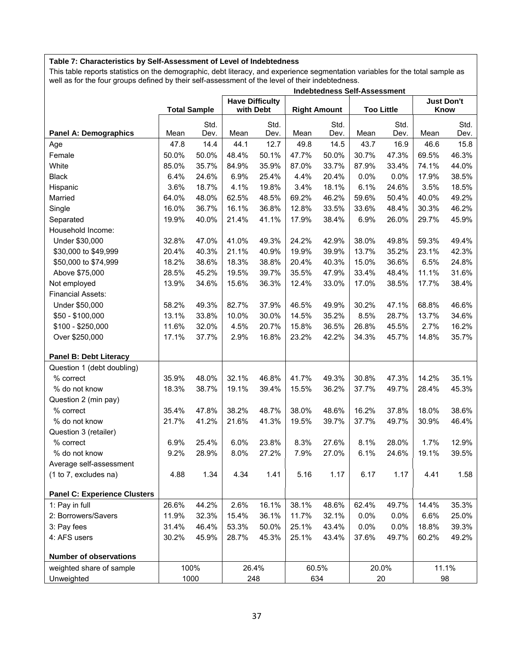### **Table 7: Characteristics by Self-Assessment of Level of Indebtedness**

This table reports statistics on the demographic, debt literacy, and experience segmentation variables for the total sample as well as for the four groups defined by their self-assessment of the level of their indebtedness.

|                                     |       |                     |           |                        |       |                     | <b>Indebtedness Self-Assessment</b> |                   |                           |       |
|-------------------------------------|-------|---------------------|-----------|------------------------|-------|---------------------|-------------------------------------|-------------------|---------------------------|-------|
|                                     |       | <b>Total Sample</b> | with Debt | <b>Have Difficulty</b> |       | <b>Right Amount</b> |                                     | <b>Too Little</b> | <b>Just Don't</b><br>Know |       |
|                                     |       |                     |           | Std.                   |       | Std.                |                                     | Std.              |                           | Std.  |
| <b>Panel A: Demographics</b>        | Mean  | Std.<br>Dev.        | Mean      | Dev.                   | Mean  | Dev.                | Mean                                | Dev.              | Mean                      | Dev.  |
| Age                                 | 47.8  | 14.4                | 44.1      | 12.7                   | 49.8  | 14.5                | 43.7                                | 16.9              | 46.6                      | 15.8  |
| Female                              | 50.0% | 50.0%               | 48.4%     | 50.1%                  | 47.7% | 50.0%               | 30.7%                               | 47.3%             | 69.5%                     | 46.3% |
| White                               | 85.0% | 35.7%               | 84.9%     | 35.9%                  | 87.0% | 33.7%               | 87.9%                               | 33.4%             | 74.1%                     | 44.0% |
| <b>Black</b>                        | 6.4%  | 24.6%               | 6.9%      | 25.4%                  | 4.4%  | 20.4%               | 0.0%                                | 0.0%              | 17.9%                     | 38.5% |
| Hispanic                            | 3.6%  | 18.7%               | 4.1%      | 19.8%                  | 3.4%  | 18.1%               | 6.1%                                | 24.6%             | 3.5%                      | 18.5% |
| Married                             | 64.0% | 48.0%               | 62.5%     | 48.5%                  | 69.2% | 46.2%               | 59.6%                               | 50.4%             | 40.0%                     | 49.2% |
| Single                              | 16.0% | 36.7%               | 16.1%     | 36.8%                  | 12.8% | 33.5%               | 33.6%                               | 48.4%             | 30.3%                     | 46.2% |
| Separated                           | 19.9% | 40.0%               | 21.4%     | 41.1%                  | 17.9% | 38.4%               | 6.9%                                | 26.0%             | 29.7%                     | 45.9% |
| Household Income:                   |       |                     |           |                        |       |                     |                                     |                   |                           |       |
| Under \$30,000                      | 32.8% | 47.0%               | 41.0%     | 49.3%                  | 24.2% | 42.9%               | 38.0%                               | 49.8%             | 59.3%                     | 49.4% |
| \$30,000 to \$49,999                | 20.4% | 40.3%               | 21.1%     | 40.9%                  | 19.9% | 39.9%               | 13.7%                               | 35.2%             | 23.1%                     | 42.3% |
| \$50,000 to \$74,999                | 18.2% | 38.6%               | 18.3%     | 38.8%                  | 20.4% | 40.3%               | 15.0%                               | 36.6%             | 6.5%                      | 24.8% |
| Above \$75,000                      | 28.5% | 45.2%               | 19.5%     | 39.7%                  | 35.5% | 47.9%               | 33.4%                               | 48.4%             | 11.1%                     | 31.6% |
| Not employed                        | 13.9% | 34.6%               | 15.6%     | 36.3%                  | 12.4% | 33.0%               | 17.0%                               | 38.5%             | 17.7%                     | 38.4% |
| <b>Financial Assets:</b>            |       |                     |           |                        |       |                     |                                     |                   |                           |       |
| Under \$50,000                      | 58.2% | 49.3%               | 82.7%     | 37.9%                  | 46.5% | 49.9%               | 30.2%                               | 47.1%             | 68.8%                     | 46.6% |
| \$50 - \$100,000                    | 13.1% | 33.8%               | 10.0%     | 30.0%                  | 14.5% | 35.2%               | 8.5%                                | 28.7%             | 13.7%                     | 34.6% |
| \$100 - \$250,000                   | 11.6% | 32.0%               | 4.5%      | 20.7%                  | 15.8% | 36.5%               | 26.8%                               | 45.5%             | 2.7%                      | 16.2% |
| Over \$250,000                      | 17.1% | 37.7%               | 2.9%      | 16.8%                  | 23.2% | 42.2%               | 34.3%                               | 45.7%             | 14.8%                     | 35.7% |
| Panel B: Debt Literacy              |       |                     |           |                        |       |                     |                                     |                   |                           |       |
| Question 1 (debt doubling)          |       |                     |           |                        |       |                     |                                     |                   |                           |       |
| % correct                           | 35.9% | 48.0%               | 32.1%     | 46.8%                  | 41.7% | 49.3%               | 30.8%                               | 47.3%             | 14.2%                     | 35.1% |
| % do not know                       | 18.3% | 38.7%               | 19.1%     | 39.4%                  | 15.5% | 36.2%               | 37.7%                               | 49.7%             | 28.4%                     | 45.3% |
| Question 2 (min pay)                |       |                     |           |                        |       |                     |                                     |                   |                           |       |
| % correct                           | 35.4% | 47.8%               | 38.2%     | 48.7%                  | 38.0% | 48.6%               | 16.2%                               | 37.8%             | 18.0%                     | 38.6% |
| % do not know                       | 21.7% | 41.2%               | 21.6%     | 41.3%                  | 19.5% | 39.7%               | 37.7%                               | 49.7%             | 30.9%                     | 46.4% |
| Question 3 (retailer)               |       |                     |           |                        |       |                     |                                     |                   |                           |       |
| % correct                           | 6.9%  | 25.4%               | 6.0%      | 23.8%                  | 8.3%  | 27.6%               | 8.1%                                | 28.0%             | 1.7%                      | 12.9% |
| % do not know                       | 9.2%  | 28.9%               | 8.0%      | 27.2%                  | 7.9%  | 27.0%               | 6.1%                                | 24.6%             | 19.1%                     | 39.5% |
| Average self-assessment             |       |                     |           |                        |       |                     |                                     |                   |                           |       |
| (1 to 7, excludes na)               | 4.88  | 1.34                | 4.34      | 1.41                   | 5.16  | 1.17                | 6.17                                | 1.17              | 4.41                      | 1.58  |
| <b>Panel C: Experience Clusters</b> |       |                     |           |                        |       |                     |                                     |                   |                           |       |
| 1: Pay in full                      | 26.6% | 44.2%               | 2.6%      | 16.1%                  | 38.1% | 48.6%               | 62.4%                               | 49.7%             | 14.4%                     | 35.3% |
| 2: Borrowers/Savers                 | 11.9% | 32.3%               | 15.4%     | 36.1%                  | 11.7% | 32.1%               | 0.0%                                | 0.0%              | 6.6%                      | 25.0% |
| 3: Pay fees                         | 31.4% | 46.4%               | 53.3%     | 50.0%                  | 25.1% | 43.4%               | 0.0%                                | 0.0%              | 18.8%                     | 39.3% |
| 4: AFS users                        | 30.2% | 45.9%               | 28.7%     | 45.3%                  | 25.1% | 43.4%               | 37.6%                               | 49.7%             | 60.2%                     | 49.2% |
| <b>Number of observations</b>       |       |                     |           |                        |       |                     |                                     |                   |                           |       |
| weighted share of sample            |       | 100%                |           | 26.4%                  | 60.5% |                     |                                     | 20.0%             |                           | 11.1% |
| Unweighted                          |       | 1000                |           | 248                    |       | 634                 |                                     | $20\,$            | 98                        |       |
|                                     |       |                     |           |                        |       |                     |                                     |                   |                           |       |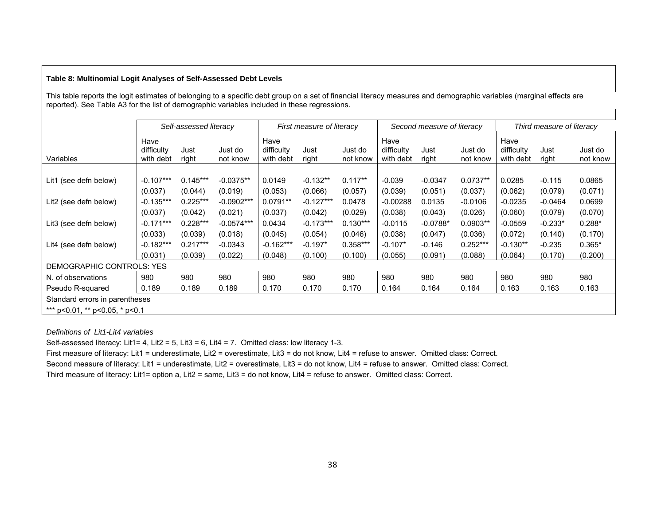### **Table 8: Multinomial Logit Analyses of Self-Assessed Debt Levels**

This table reports the logit estimates of belonging to a specific debt group on a set of financial literacy measures and demographic variables (marginal effects are reported). See Table A3 for the list of demographic variables included in these regressions.

|                                        |                                 | Self-assessed literacy |                     |                                 | First measure of literacy |                     |                                 | Second measure of literacy |                     |                                 | Third measure of literacy |                     |
|----------------------------------------|---------------------------------|------------------------|---------------------|---------------------------------|---------------------------|---------------------|---------------------------------|----------------------------|---------------------|---------------------------------|---------------------------|---------------------|
| Variables                              | Have<br>difficulty<br>with debt | Just<br>right          | Just do<br>not know | Have<br>difficulty<br>with debt | Just<br>right             | Just do<br>not know | Have<br>difficulty<br>with debt | Just<br>right              | Just do<br>not know | Have<br>difficulty<br>with debt | Just<br>right             | Just do<br>not know |
|                                        |                                 |                        |                     |                                 |                           |                     |                                 |                            |                     |                                 |                           |                     |
| Lit1 (see defn below)                  | $-0.107***$                     | $0.145***$             | $-0.0375**$         | 0.0149                          | $-0.132**$                | $0.117**$           | $-0.039$                        | $-0.0347$                  | $0.0737**$          | 0.0285                          | $-0.115$                  | 0.0865              |
|                                        | (0.037)                         | (0.044)                | (0.019)             | (0.053)                         | (0.066)                   | (0.057)             | (0.039)                         | (0.051)                    | (0.037)             | (0.062)                         | (0.079)                   | (0.071)             |
| Lit2 (see defn below)                  | $-0.135***$                     | $0.225***$             | $-0.0902***$        | $0.0791**$                      | $-0.127***$               | 0.0478              | $-0.00288$                      | 0.0135                     | $-0.0106$           | $-0.0235$                       | $-0.0464$                 | 0.0699              |
|                                        | (0.037)                         | (0.042)                | (0.021)             | (0.037)                         | (0.042)                   | (0.029)             | (0.038)                         | (0.043)                    | (0.026)             | (0.060)                         | (0.079)                   | (0.070)             |
| Lit3 (see defn below)                  | $-0.171***$                     | $0.228***$             | $-0.0574***$        | 0.0434                          | $-0.173***$               | $0.130***$          | $-0.0115$                       | $-0.0788*$                 | $0.0903**$          | $-0.0559$                       | $-0.233*$                 | $0.288*$            |
|                                        | (0.033)                         | (0.039)                | (0.018)             | (0.045)                         | (0.054)                   | (0.046)             | (0.038)                         | (0.047)                    | (0.036)             | (0.072)                         | (0.140)                   | (0.170)             |
| Lit4 (see defn below)                  | $-0.182***$                     | $0.217***$             | $-0.0343$           | $-0.162***$                     | $-0.197*$                 | $0.358***$          | $-0.107*$                       | $-0.146$                   | $0.252***$          | $-0.130**$                      | $-0.235$                  | $0.365*$            |
|                                        | (0.031)                         | (0.039)                | (0.022)             | (0.048)                         | (0.100)                   | (0.100)             | (0.055)                         | (0.091)                    | (0.088)             | (0.064)                         | (0.170)                   | (0.200)             |
| DEMOGRAPHIC CONTROLS: YES              |                                 |                        |                     |                                 |                           |                     |                                 |                            |                     |                                 |                           |                     |
| N. of observations                     | 980                             | 980                    | 980                 | 980                             | 980                       | 980                 | 980                             | 980                        | 980                 | 980                             | 980                       | 980                 |
| Pseudo R-squared                       | 0.189                           | 0.189                  | 0.189               | 0.170                           | 0.170                     | 0.170               | 0.164                           | 0.164                      | 0.164               | 0.163                           | 0.163                     | 0.163               |
| Standard errors in parentheses         |                                 |                        |                     |                                 |                           |                     |                                 |                            |                     |                                 |                           |                     |
| *** $p<0.01$ , ** $p<0.05$ , * $p<0.1$ |                                 |                        |                     |                                 |                           |                     |                                 |                            |                     |                                 |                           |                     |

*Definitions of Lit1-Lit4 variables*

Self-assessed literacy: Lit1= 4, Lit2 = 5, Lit3 = 6, Lit4 = 7. Omitted class: low literacy 1-3.

First measure of literacy: Lit1 = underestimate, Lit2 = overestimate, Lit3 = do not know, Lit4 = refuse to answer. Omitted class: Correct.

Second measure of literacy: Lit1 = underestimate, Lit2 = overestimate, Lit3 = do not know, Lit4 = refuse to answer. Omitted class: Correct.

Third measure of literacy: Lit1= option a, Lit2 = same, Lit3 = do not know, Lit4 = refuse to answer. Omitted class: Correct.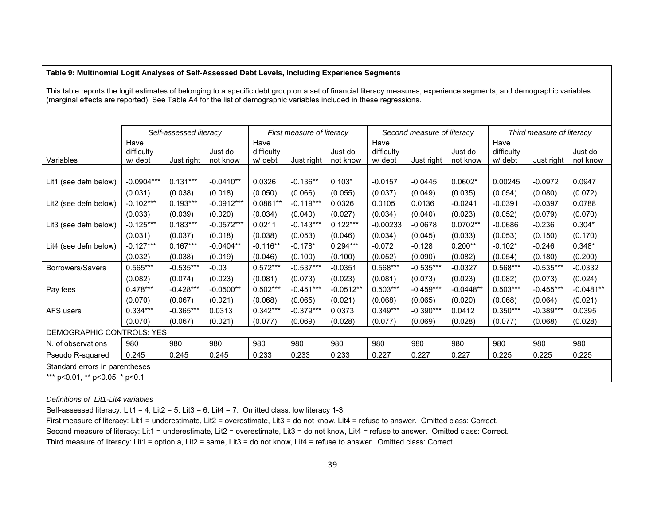#### **Table 9: Multinomial Logit Analyses of Self-Assessed Debt Levels, Including Experience Segments**

This table reports the logit estimates of belonging to a specific debt group on a set of financial literacy measures, experience segments, and demographic variables (marginal effects are reported). See Table A4 for the list of demographic variables included in these regressions.

|                                |              | Self-assessed literacy |              |            | First measure of literacy |             |            | Second measure of literacy |             |            | Third measure of literacy |             |
|--------------------------------|--------------|------------------------|--------------|------------|---------------------------|-------------|------------|----------------------------|-------------|------------|---------------------------|-------------|
|                                | Have         |                        |              | Have       |                           |             | Have       |                            |             | Have       |                           |             |
|                                | difficulty   |                        | Just do      | difficulty |                           | Just do     | difficulty |                            | Just do     | difficulty |                           | Just do     |
| Variables                      | w/ debt      | Just right             | not know     | w/ debt    | Just right                | not know    | w/ debt    | Just right                 | not know    | w/ debt    | Just right                | not know    |
|                                |              |                        |              |            |                           |             |            |                            |             |            |                           |             |
| Lit1 (see defn below)          | $-0.0904***$ | $0.131***$             | $-0.0410**$  | 0.0326     | $-0.136**$                | $0.103*$    | $-0.0157$  | $-0.0445$                  | $0.0602*$   | 0.00245    | $-0.0972$                 | 0.0947      |
|                                | (0.031)      | (0.038)                | (0.018)      | (0.050)    | (0.066)                   | (0.055)     | (0.037)    | (0.049)                    | (0.035)     | (0.054)    | (0.080)                   | (0.072)     |
| Lit2 (see defn below)          | $-0.102***$  | $0.193***$             | $-0.0912***$ | $0.0861**$ | $-0.119***$               | 0.0326      | 0.0105     | 0.0136                     | $-0.0241$   | $-0.0391$  | $-0.0397$                 | 0.0788      |
|                                | (0.033)      | (0.039)                | (0.020)      | (0.034)    | (0.040)                   | (0.027)     | (0.034)    | (0.040)                    | (0.023)     | (0.052)    | (0.079)                   | (0.070)     |
| Lit3 (see defn below)          | $-0.125***$  | $0.183***$             | $-0.0572***$ | 0.0211     | $-0.143***$               | $0.122***$  | $-0.00233$ | $-0.0678$                  | $0.0702**$  | $-0.0686$  | $-0.236$                  | $0.304*$    |
|                                | (0.031)      | (0.037)                | (0.018)      | (0.038)    | (0.053)                   | (0.046)     | (0.034)    | (0.045)                    | (0.033)     | (0.053)    | (0.150)                   | (0.170)     |
| Lit4 (see defn below)          | $-0.127***$  | $0.167***$             | $-0.0404**$  | $-0.116**$ | $-0.178*$                 | $0.294***$  | $-0.072$   | $-0.128$                   | $0.200**$   | $-0.102*$  | $-0.246$                  | $0.348*$    |
|                                | (0.032)      | (0.038)                | (0.019)      | (0.046)    | (0.100)                   | (0.100)     | (0.052)    | (0.090)                    | (0.082)     | (0.054)    | (0.180)                   | (0.200)     |
| Borrowers/Savers               | $0.565***$   | $-0.535***$            | $-0.03$      | $0.572***$ | $-0.537***$               | $-0.0351$   | 0.568***   | $-0.535***$                | $-0.0327$   | $0.568***$ | $-0.535***$               | $-0.0332$   |
|                                | (0.082)      | (0.074)                | (0.023)      | (0.081)    | (0.073)                   | (0.023)     | (0.081)    | (0.073)                    | (0.023)     | (0.082)    | (0.073)                   | (0.024)     |
| Pay fees                       | $0.478***$   | $-0.428***$            | $-0.0500**$  | $0.502***$ | $-0.451***$               | $-0.0512**$ | $0.503***$ | $-0.459***$                | $-0.0448**$ | $0.503***$ | $-0.455***$               | $-0.0481**$ |
|                                | (0.070)      | (0.067)                | (0.021)      | (0.068)    | (0.065)                   | (0.021)     | (0.068)    | (0.065)                    | (0.020)     | (0.068)    | (0.064)                   | (0.021)     |
| AFS users                      | $0.334***$   | $-0.365***$            | 0.0313       | $0.342***$ | $-0.379***$               | 0.0373      | $0.349***$ | $-0.390***$                | 0.0412      | $0.350***$ | $-0.389***$               | 0.0395      |
|                                | (0.070)      | (0.067)                | (0.021)      | (0.077)    | (0.069)                   | (0.028)     | (0.077)    | (0.069)                    | (0.028)     | (0.077)    | (0.068)                   | (0.028)     |
| DEMOGRAPHIC CONTROLS: YES      |              |                        |              |            |                           |             |            |                            |             |            |                           |             |
| N. of observations             | 980          | 980                    | 980          | 980        | 980                       | 980         | 980        | 980                        | 980         | 980        | 980                       | 980         |
| Pseudo R-squared               | 0.245        | 0.245                  | 0.245        | 0.233      | 0.233                     | 0.233       | 0.227      | 0.227                      | 0.227       | 0.225      | 0.225                     | 0.225       |
| Standard errors in parentheses |              |                        |              |            |                           |             |            |                            |             |            |                           |             |
| *** p<0.01, ** p<0.05, * p<0.1 |              |                        |              |            |                           |             |            |                            |             |            |                           |             |

*Definitions of Lit1-Lit4 variables*

Self-assessed literacy: Lit1 = 4, Lit2 = 5, Lit3 = 6, Lit4 = 7. Omitted class: low literacy 1-3.

First measure of literacy: Lit1 = underestimate, Lit2 = overestimate, Lit3 = do not know, Lit4 = refuse to answer. Omitted class: Correct.

Second measure of literacy: Lit1 = underestimate, Lit2 = overestimate, Lit3 = do not know, Lit4 = refuse to answer. Omitted class: Correct.

Third measure of literacy: Lit1 = option a, Lit2 = same, Lit3 = do not know, Lit4 = refuse to answer. Omitted class: Correct.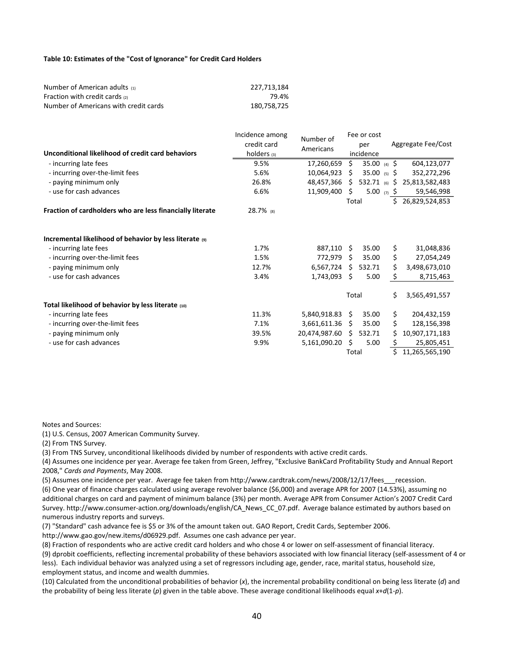#### **Table 10: Estimates of the "Cost of Ignorance" for Credit Card Holders**

| Number of American adults (1)         | 227.713.184 |
|---------------------------------------|-------------|
| Fraction with credit cards $_{(2)}$   | 79.4%       |
| Number of Americans with credit cards | 180.758.725 |

|                                                              | Incidence among | Number of       |       | Fee or cost             |    |                    |
|--------------------------------------------------------------|-----------------|-----------------|-------|-------------------------|----|--------------------|
|                                                              | credit card     |                 |       | per                     |    | Aggregate Fee/Cost |
| Unconditional likelihood of credit card behaviors            | holders (3)     | Americans       |       | incidence               |    |                    |
| - incurring late fees                                        | 9.5%            | 17,260,659      | \$    | 35.00 (4) $\frac{1}{2}$ |    | 604,123,077        |
| - incurring over-the-limit fees                              | 5.6%            | 10,064,923      | Ś.    | 35.00 (5) $\frac{1}{2}$ |    | 352,272,296        |
| - paying minimum only                                        | 26.8%           | 48,457,366      | Š.    | 532.71 (6) \$           |    | 25,813,582,483     |
| - use for cash advances                                      | 6.6%            | 11,909,400      | \$    | 5.00 (7) $\frac{1}{2}$  |    | 59,546,998         |
|                                                              |                 |                 | Total |                         | Ś. | 26,829,524,853     |
| Fraction of cardholders who are less financially literate    | 28.7% (8)       |                 |       |                         |    |                    |
|                                                              |                 |                 |       |                         |    |                    |
| Incremental likelihood of behavior by less literate $\omega$ |                 |                 |       |                         |    |                    |
| - incurring late fees                                        | 1.7%            | 887,110 \$      |       | 35.00                   | \$ | 31,048,836         |
| - incurring over-the-limit fees                              | 1.5%            | 772,979         | Ŝ.    | 35.00                   | \$ | 27,054,249         |
| - paying minimum only                                        | 12.7%           | 6,567,724       | Ś.    | 532.71                  | \$ | 3,498,673,010      |
| - use for cash advances                                      | 3.4%            | 1,743,093       | \$    | 5.00                    | \$ | 8,715,463          |
|                                                              |                 |                 | Total |                         | \$ | 3,565,491,557      |
| Total likelihood of behavior by less literate (10)           |                 |                 |       |                         |    |                    |
| - incurring late fees                                        | 11.3%           | 5,840,918.83 \$ |       | 35.00                   | \$ | 204,432,159        |
| - incurring over-the-limit fees                              | 7.1%            | 3,661,611.36    | Ŝ.    | 35.00                   | \$ | 128,156,398        |
| - paying minimum only                                        | 39.5%           | 20,474,987.60   | Ś.    | 532.71                  | Ś. | 10,907,171,183     |
| - use for cash advances                                      | 9.9%            | 5,161,090.20    | \$    | 5.00                    | Ş  | 25,805,451         |
|                                                              |                 |                 | Total |                         | \$ | 11,265,565,190     |

Notes and Sources:

(1) U.S. Census, 2007 American Community Survey.

(2) From TNS Survey.

(3) From TNS Survey, unconditional likelihoods divided by number of respondents with active credit cards.

(4) Assumes one incidence per year. Average fee taken from Green, Jeffrey, "Exclusive BankCard Profitability Study and Annual Report 2008," *Cards and Payments*, May 2008.

(5) Assumes one incidence per year. Average fee taken from http://www.cardtrak.com/news/2008/12/17/fees recession.

(6) One year of finance charges calculated using average revolver balance (\$6,000) and average APR for 2007 (14.53%), assuming no additional charges on card and payment of minimum balance (3%) per month. Average APR from Consumer Action's 2007 Credit Card Survey. http://www.consumer-action.org/downloads/english/CA\_News\_CC\_07.pdf. Average balance estimated by authors based on numerous industry reports and surveys.

(7) "Standard" cash advance fee is \$5 or 3% of the amount taken out. GAO Report, Credit Cards, September 2006.

http://www.gao.gov/new.items/d06929.pdf. Assumes one cash advance per year.

(8) Fraction of respondents who are active credit card holders and who chose 4 or lower on self‐assessment of financial literacy.

(9) dprobit coefficients, reflecting incremental probability of these behaviors associated with low financial literacy (self‐assessment of 4 or less). Each individual behavior was analyzed using a set of regressors including age, gender, race, marital status, household size, employment status, and income and wealth dummies.

(10) Calculated from the unconditional probabilities of behavior (*x*), the incremental probability conditional on being less literate (*d*) and the probability of being less literate (*p*) given in the table above. These average conditional likelihoods equal *x*+*d*(1‐*p*).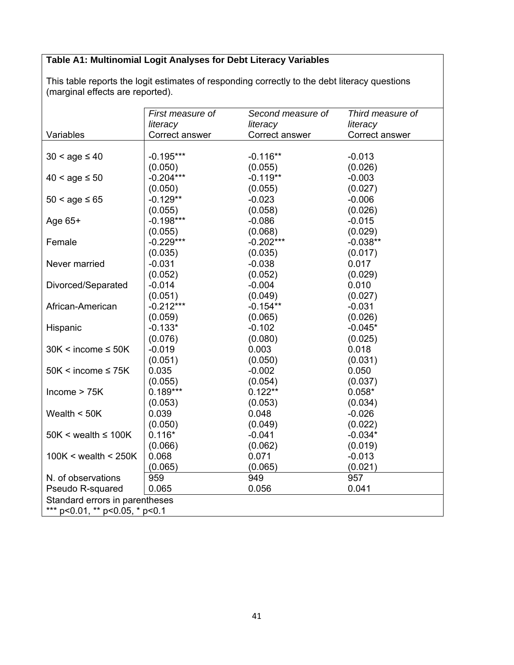## **Table A1: Multinomial Logit Analyses for Debt Literacy Variables**

This table reports the logit estimates of responding correctly to the debt literacy questions (marginal effects are reported).

|                                | First measure of | Second measure of | Third measure of |  |  |
|--------------------------------|------------------|-------------------|------------------|--|--|
|                                | literacy         | literacy          | literacy         |  |  |
| Variables                      | Correct answer   | Correct answer    | Correct answer   |  |  |
|                                |                  |                   |                  |  |  |
| $30 <$ age $\leq 40$           | $-0.195***$      | $-0.116**$        | $-0.013$         |  |  |
|                                | (0.050)          | (0.055)           | (0.026)          |  |  |
| $40 <$ age $\le 50$            | $-0.204***$      | $-0.119**$        | $-0.003$         |  |  |
|                                | (0.050)          | (0.055)           | (0.027)          |  |  |
| $50 <$ age $\le 65$            | $-0.129**$       | $-0.023$          | $-0.006$         |  |  |
|                                | (0.055)          | (0.058)           | (0.026)          |  |  |
| Age 65+                        | $-0.198***$      | $-0.086$          | $-0.015$         |  |  |
|                                | (0.055)          | (0.068)           | (0.029)          |  |  |
| Female                         | $-0.229***$      | $-0.202***$       | $-0.038**$       |  |  |
|                                | (0.035)          | (0.035)           | (0.017)          |  |  |
| Never married                  | $-0.031$         | $-0.038$          | 0.017            |  |  |
|                                | (0.052)          | (0.052)           | (0.029)          |  |  |
| Divorced/Separated             | $-0.014$         | $-0.004$          | 0.010            |  |  |
|                                | (0.051)          | (0.049)           | (0.027)          |  |  |
| African-American               | $-0.212***$      | $-0.154**$        | $-0.031$         |  |  |
|                                | (0.059)          | (0.065)           | (0.026)          |  |  |
| Hispanic                       | $-0.133*$        | $-0.102$          | $-0.045*$        |  |  |
|                                | (0.076)          | (0.080)           | (0.025)          |  |  |
| $30K < i$ ncome $\leq 50K$     | $-0.019$         | 0.003             | 0.018            |  |  |
|                                | (0.051)          | (0.050)           | (0.031)          |  |  |
| $50K < income \leq 75K$        | 0.035            | $-0.002$          | 0.050            |  |  |
|                                | (0.055)          | (0.054)           | (0.037)          |  |  |
| Income > 75K                   | $0.189***$       | $0.122**$         | $0.058*$         |  |  |
|                                | (0.053)          | (0.053)           | (0.034)          |  |  |
| Wealth $<$ 50K                 | 0.039            | 0.048             | $-0.026$         |  |  |
|                                | (0.050)          | (0.049)           | (0.022)          |  |  |
| $50K <$ wealth $\leq 100K$     | $0.116*$         | $-0.041$          | $-0.034*$        |  |  |
|                                | (0.066)          | (0.062)           | (0.019)          |  |  |
| 100K < wealth < $250K$         | 0.068            | 0.071             | $-0.013$         |  |  |
|                                | (0.065)          | (0.065)           | (0.021)          |  |  |
| N. of observations             | 959              | 949               | 957              |  |  |
| Pseudo R-squared               | 0.065            | 0.056             | 0.041            |  |  |
| Standard errors in parentheses |                  |                   |                  |  |  |
| *** p<0.01, ** p<0.05, * p<0.1 |                  |                   |                  |  |  |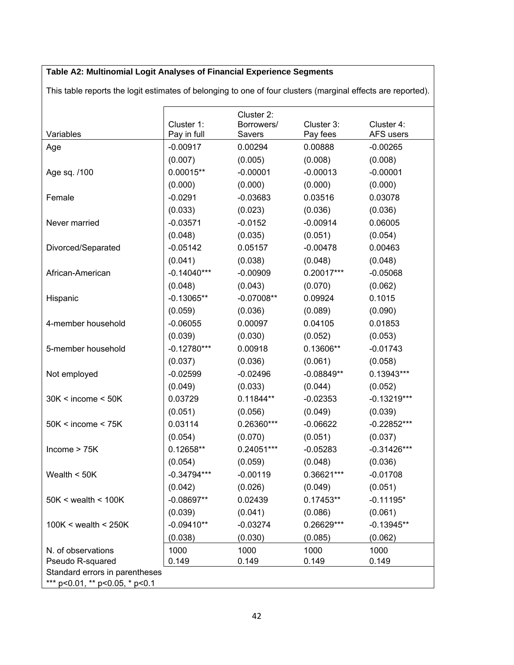# **Table A2: Multinomial Logit Analyses of Financial Experience Segments**

| Variables                      | Cluster 1:<br>Pay in full | Cluster 2:<br>Borrowers/<br>Savers | Cluster 3:<br>Pay fees | Cluster 4:<br>AFS users |
|--------------------------------|---------------------------|------------------------------------|------------------------|-------------------------|
| Age                            | $-0.00917$                | 0.00294                            | 0.00888                | $-0.00265$              |
|                                | (0.007)                   | (0.005)                            | (0.008)                | (0.008)                 |
| Age sq. /100                   | $0.00015**$               | $-0.00001$                         | $-0.00013$             | $-0.00001$              |
|                                | (0.000)                   | (0.000)                            | (0.000)                | (0.000)                 |
| Female                         | $-0.0291$                 | $-0.03683$                         | 0.03516                | 0.03078                 |
|                                | (0.033)                   | (0.023)                            | (0.036)                | (0.036)                 |
| Never married                  | $-0.03571$                | $-0.0152$                          | $-0.00914$             | 0.06005                 |
|                                | (0.048)                   | (0.035)                            | (0.051)                | (0.054)                 |
| Divorced/Separated             | $-0.05142$                | 0.05157                            | $-0.00478$             | 0.00463                 |
|                                | (0.041)                   | (0.038)                            | (0.048)                | (0.048)                 |
| African-American               | $-0.14040***$             | $-0.00909$                         | $0.20017***$           | $-0.05068$              |
|                                | (0.048)                   | (0.043)                            | (0.070)                | (0.062)                 |
| Hispanic                       | $-0.13065**$              | $-0.07008**$                       | 0.09924                | 0.1015                  |
|                                | (0.059)                   | (0.036)                            | (0.089)                | (0.090)                 |
| 4-member household             | $-0.06055$                | 0.00097                            | 0.04105                | 0.01853                 |
|                                | (0.039)                   | (0.030)                            | (0.052)                | (0.053)                 |
| 5-member household             | $-0.12780***$             | 0.00918                            | $0.13606**$            | $-0.01743$              |
|                                | (0.037)                   | (0.036)                            | (0.061)                | (0.058)                 |
| Not employed                   | $-0.02599$                | $-0.02496$                         | $-0.08849**$           | 0.13943***              |
|                                | (0.049)                   | (0.033)                            | (0.044)                | (0.052)                 |
| 30K < income < 50K             | 0.03729                   | $0.11844**$                        | $-0.02353$             | $-0.13219***$           |
|                                | (0.051)                   | (0.056)                            | (0.049)                | (0.039)                 |
| 50K < income < 75K             | 0.03114                   | $0.26360***$                       | $-0.06622$             | $-0.22852***$           |
|                                | (0.054)                   | (0.070)                            | (0.051)                | (0.037)                 |
| Income > 75K                   | $0.12658**$               | $0.24051***$                       | $-0.05283$             | $-0.31426***$           |
|                                | (0.054)                   | (0.059)                            | (0.048)                | (0.036)                 |
| Wealth $<$ 50K                 | $-0.34794***$             | $-0.00119$                         | 0.36621***             | $-0.01708$              |
|                                | (0.042)                   | (0.026)                            | (0.049)                | (0.051)                 |
| $50K <$ wealth $< 100K$        | $-0.08697**$              | 0.02439                            | 0.17453**              | $-0.11195*$             |
|                                | (0.039)                   | (0.041)                            | (0.086)                | (0.061)                 |
| $100K <$ wealth $<$ 250K       | $-0.09410**$              | $-0.03274$                         | 0.26629***             | $-0.13945**$            |
|                                | (0.038)                   | (0.030)                            | (0.085)                | (0.062)                 |
| N. of observations             | 1000                      | 1000                               | 1000                   | 1000                    |
| Pseudo R-squared               | 0.149                     | 0.149                              | 0.149                  | 0.149                   |
| Standard errors in parentheses |                           |                                    |                        |                         |
| *** p<0.01, ** p<0.05, * p<0.1 |                           |                                    |                        |                         |

This table reports the logit estimates of belonging to one of four clusters (marginal effects are reported).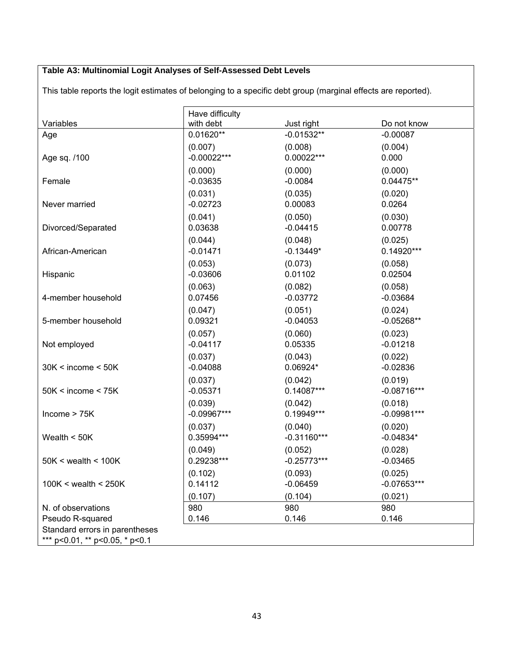# **Table A3: Multinomial Logit Analyses of Self-Assessed Debt Levels**

This table reports the logit estimates of belonging to a specific debt group (marginal effects are reported).

| Variables                                          | Have difficulty<br>with debt | Just right    | Do not know   |
|----------------------------------------------------|------------------------------|---------------|---------------|
| Age                                                | $0.01620**$                  | $-0.01532**$  | $-0.00087$    |
| Age sq. /100                                       | (0.007)                      | (0.008)       | (0.004)       |
|                                                    | $-0.00022***$                | 0.00022***    | 0.000         |
| Female                                             | (0.000)                      | (0.000)       | (0.000)       |
|                                                    | $-0.03635$                   | $-0.0084$     | $0.04475**$   |
| Never married                                      | (0.031)                      | (0.035)       | (0.020)       |
|                                                    | $-0.02723$                   | 0.00083       | 0.0264        |
| Divorced/Separated                                 | (0.041)                      | (0.050)       | (0.030)       |
|                                                    | 0.03638                      | $-0.04415$    | 0.00778       |
| African-American                                   | (0.044)                      | (0.048)       | (0.025)       |
|                                                    | $-0.01471$                   | $-0.13449*$   | $0.14920***$  |
| Hispanic                                           | (0.053)                      | (0.073)       | (0.058)       |
|                                                    | $-0.03606$                   | 0.01102       | 0.02504       |
| 4-member household                                 | (0.063)                      | (0.082)       | (0.058)       |
|                                                    | 0.07456                      | $-0.03772$    | $-0.03684$    |
| 5-member household                                 | (0.047)                      | (0.051)       | (0.024)       |
|                                                    | 0.09321                      | $-0.04053$    | $-0.05268**$  |
| Not employed                                       | (0.057)                      | (0.060)       | (0.023)       |
|                                                    | $-0.04117$                   | 0.05335       | $-0.01218$    |
| $30K < i$ ncome $< 50K$                            | (0.037)                      | (0.043)       | (0.022)       |
|                                                    | $-0.04088$                   | 0.06924*      | $-0.02836$    |
| 50K < income < 75K                                 | (0.037)                      | (0.042)       | (0.019)       |
|                                                    | $-0.05371$                   | $0.14087***$  | $-0.08716***$ |
| lncome > 75K                                       | (0.039)                      | (0.042)       | (0.018)       |
|                                                    | $-0.09967***$                | $0.19949***$  | $-0.09981***$ |
| Wealth $<$ 50K                                     | (0.037)                      | (0.040)       | (0.020)       |
|                                                    | 0.35994***                   | $-0.31160***$ | $-0.04834*$   |
| $50K <$ wealth $< 100K$                            | (0.049)                      | (0.052)       | (0.028)       |
|                                                    | 0.29238***                   | $-0.25773***$ | $-0.03465$    |
| $100K <$ wealth $<$ 250K                           | (0.102)                      | (0.093)       | (0.025)       |
|                                                    | 0.14112                      | $-0.06459$    | $-0.07653***$ |
|                                                    | (0.107)                      | (0.104)       | (0.021)       |
| N. of observations                                 | 980                          | 980           | 980           |
| Pseudo R-squared<br>Standard errors in parentheses | 0.146                        | 0.146         | 0.146         |
| *** p<0.01, ** p<0.05, * p<0.1                     |                              |               |               |